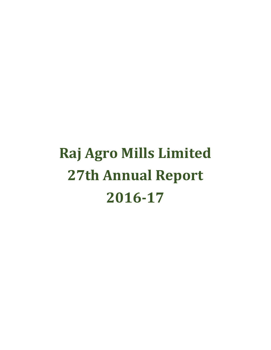# Raj Agro Mills Limited 27th Annual Report 2016-17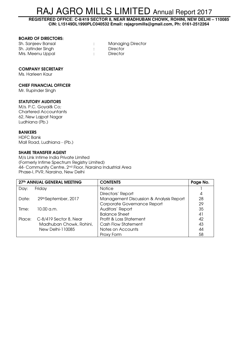**REGISTERED OFFICE: C-8/419 SECTOR 8, NEAR MADHUBAN CHOWK, ROHINI, NEW DELHI – 110085 CIN: L15149DL1990PLC040532 Email: rajagromills@gmail.com, Ph: 0161-2512264** 

# BOARD OF DIRECTORS:

| Sh. Sanjeev Bansal | <b>Managing Director</b> |
|--------------------|--------------------------|
| Sh. Jatinder Singh | Director                 |
| Mrs. Meenu Uppal   | Director                 |

# COMPANY SECRETARY

Ms. Harleen Kaur

# CHIEF FINANCIAL OFFICER

Mr. Rupinder Singh

# STATUTORY AUDITORS

M/s. P.C. Goyal& Co; Chartered Accountants 62, New Lajpat Nagar Ludhiana (Pb.)

# BANKERS

HDFC Bank Mall Road, Ludhiana - (Pb.)

# SHARE TRANSFER AGENT

M/s Link Intime India Private Limited (Formerly Intime Spectrum Registry Limited) 44- Community Centre, 2nd Floor, Naraina Industrial Area Phase-I, PVR, Naraina, New Delhi

|        | 27th ANNUAL GENERAL MEETING | <b>CONTENTS</b>                         | Page No. |
|--------|-----------------------------|-----------------------------------------|----------|
| Day:   | Friday                      | <b>Notice</b>                           |          |
|        |                             | Directors' Report                       | 4        |
| Date:  | 29thSeptember, 2017         | Management Discussion & Analysis Report | 28       |
|        |                             | Corporate Governance Report             | 29       |
| Time:  | $10.00 \, \text{a.m.}$      | Auditors' Report                        | 35       |
|        |                             | <b>Balance Sheet</b>                    | 41       |
| Place: | $C-8/419$ Sector 8, Near    | Profit & Loss Statement                 | 42       |
|        | Madhuban Chowk, Rohini,     | <b>Cash Flow Statement</b>              | 43       |
|        | New Delhi-110085            | Notes on Accounts                       | 44       |
|        |                             | Proxy Form                              | 58       |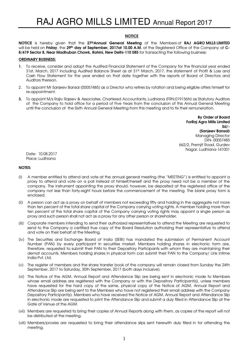# **NOTICE**

NOTICE is hereby given that the 27thAnnual General Meeting of the Members of RAJ AGRO MILLS LIMITED will be held on Friday, the 29<sup>th</sup> day of September, 2017at 10.00 A.M. at the Registered Office of the Company at C-8/419 Sector 8, Near Madhuban Chowk, Rohini, New Delhi-110 085 for transacting the following business:

#### ORDINARY BUSINESS:

- 1. To receive, consider and adopt the Audited Financial Statement of the Company for the financial year ended 31st, March, 2017 including Audited Balance Sheet as at 31st, March, 2017, the statement of Profit & Loss and Cash Flow Statement for the year ended on that date together with the reports of Board of Directors and Auditors thereon.
- 2. To appoint Mr Sanjeev Bansal (00057485) as a Director who retires by rotation and being eligible offers himself for re-appointment.
- 3. To appoint M/s Rajiv Rajeev & Associates, Chartered Accountants, Ludhiana (FRN:019136N) as Statutory Auditors of the Company to hold office for a period of Five Years from the conclusion of this Annual General Meeting until the conclusion of the Sixth Annual General Meeting from this meeting and to fix their remuneration.

 By Order of Board ForRaj Agro Mills Limited Sd/- (Sanjeev Bansal) Managing Director DIN- 00057485 662/2, Premjit Road, Gurdev Nagar, Ludhiana-141001

Date: 10.08.2017 Place: Ludhiana

#### NOTES:

- (i) A member entitled to attend and vote at the annual general meeting (the "MEETING") is entitled to appoint a proxy to attend and vote on a poll instead of himself/herself and the proxy need not be a member of the company. The instrument appointing the proxy should, however, be deposited at the registered office of the company not less than forty-eight hours before the commencement of the meeting. The blank proxy form is enclosed.
- (ii) A person can act as a proxy on behalf of members not exceeding fifty and holding in the aggregate not more than ten percent of the total share capital of the Company carrying voting rights. A member holding more than ten percent of the total share capital of the Company carrying voting rights may appoint a single person as proxy and such person shall not act as a proxy for any other person or shareholder.
- (iii) Corporate members intending to send their authorized representatives to attend the Meeting are requested to send to the Company a certified true copy of the Board Resolution authorizing their representative to attend and vote on their behalf at the Meeting.
- (iv) The Securities and Exchange Board of India (SEBI) has mandated the submission of Permanent Account Number (PAN) by every participant in securities market. Members holding shares in electronic form are, therefore, requested to submit their PAN to their Depository Participants with whom they are maintaining their demat accounts. Members holding shares in physical form can submit their PAN to the Company/ Link Intime India Pvt. Ltd.
- (v) The register of members and the share transfer book of the company will remain closed from Sunday the 24th September, 2017 to Saturday, 30th September, 2017 (both days inclusive).
- (vi) The Notice of the AGM, Annual Report and Attendance Slip are being sent in electronic mode to Members whose email address are registered with the Company or with the Depository Participant(s), unless members have requested for the hard copy of the same, physical copy of the Notice of AGM, Annual Report and Attendance Slip are being sent to the Members who have not registered their email address with the Company Depository Participant(s). Members who have received the Notice of AGM, Annual Report and Attendance Slip in electronic mode are requested to print the Attendance Slip and submit a duly filled in Attendance Slip at the Gate of Venue of the AGM.
- (vii) Members are requested to bring their copies of Annual Reports along with them, as copies of the report will not be distributed at the meeting.
- (viii) Members/proxies are requested to bring their attendance slips sent herewith duly filled in for attending the meeting.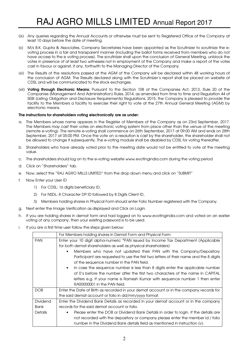- (ix) Any queries regarding the Annual Accounts or otherwise must be sent to Registered Office of the Company at least 10 days before the date of meeting.
- (x) M/s B.K. Gupta & Associates, Company Secretaries have been appointed as the Scrutinizer to scrutinize the evoting process in a fair and transparent manner (including the ballot forms received from members who do not have access to the e voting process). The scrutinizer shall upon the conclusion of General Meeting, unblock the votes in presence of at least two witnesses not in employment of the Company and make a report of the votes cast in favour or against, if any, forthwith to the Managing Director of the Company.
- (xi) The Results of the resolutions passed at the AGM of the Company will be declared within 48 working hours of the conclusion of AGM. The Results declared along with the Scrutinizer's report shall be placed on website of CDSL and will be communicated to the stock exchanges.
- (xii) Voting through Electronic Means: Pursuant to the Section 108 of the Companies Act, 2013, Rule 20 of the Companies (Management And Administration) Rules, 2014, as amended from time to time and Regulation 44 of SEBI (Listing Obligation and Disclosure Requirements) Regulations, 2015, the Company is pleased to provide the facility to the Members a facility to exercise their right to vote at the 27th Annual General Meeting (AGM) by electronic means.

# The instructions for shareholders voting electronically are as under:

- a. The Members whose name appears in the Register of Members of the Company as on 23rd September, 2017. The Members may cast their votes on electronic voting system from place other than the venue of the meeting (remote e-voting). The remote e-voting shall commence on 26th September, 2017 at 09:00 AM and ends on 28th September, 2017 at 05:00 PM. Once the vote on a resolution is cast by the shareholder, the shareholder shall not be allowed to change it subsequently. The e-voting module shall be disabled by CDSL for voting thereafter.
- b. Shareholders who have already voted prior to the meeting date would not be entitled to vote at the meeting value.
- c. The shareholders should log on to the e-voting website www.evotingindia.com during the voting period
- d. Click on "Shareholders" tab.
- e. Now, select the "RAJ AGRO MILLS LIMITED" from the drop down menu and click on "SUBMIT"
- f. Now Enter your User ID
	- 1) For CDSL: 16 digits beneficiary ID,
	- 2) For NSDL: 8 Character DP ID followed by 8 Digits Client ID,
	- 3) Members holding shares in Physical Form should enter Folio Number registered with the Company.
- g. Next enter the Image Verification as displayed and Click on Login.
- h. If you are holding shares in demat form and had logged on to www.evotingindia.com and voted on an earlier voting of any company, then your existing password is to be used.
- i. If you are a first time user follow the steps given below:

|                | For Members holding shares in Demat Form and Physical Form                                       |
|----------------|--------------------------------------------------------------------------------------------------|
| <b>PAN</b>     | Enter your 10 digit alpha-numeric *PAN issued by Income Tax Department (Applicable               |
|                | for both demat shareholders as well as physical shareholders)                                    |
|                | Members who have not updated their PAN with the Company/Depository<br>$\bullet$                  |
|                | Participant are requested to use the first two letters of their name and the 8 digits            |
|                | of the sequence number in the PAN field.                                                         |
|                | In case the sequence number is less than 8 digits enter the applicable number<br>$\bullet$       |
|                | of 0's before the number after the first two characters of the name in CAPITAL                   |
|                | letters e.g. If your name is Ramesh Kumar with sequence number 1 then enter                      |
|                | RA00000001 in the PAN field.                                                                     |
| <b>DOB</b>     | Enter the Date of Birth as recorded in your demat account or in the company records for          |
|                | the said demat account or folio in dd/mm/yyyy format.                                            |
| Dividend       | Enter the Dividend Bank Details as recorded in your demat account or in the company              |
| <b>Bank</b>    | records for the said demat account or folio.                                                     |
| <b>Details</b> | Please enter the DOB or Dividend Bank Details in order to login. If the details are<br>$\bullet$ |
|                | not recorded with the depository or company please enter the member id / folio                   |
|                | number in the Dividend Bank details field as mentioned in instruction (v).                       |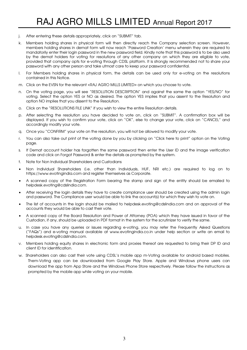- j. After entering these details appropriately, click on "SUBMIT" tab.
- k. Members holding shares in physical form will then directly reach the Company selection screen. However, members holding shares in demat form will now reach 'Password Creation' menu wherein they are required to mandatorily enter their login password in the new password field. Kindly note that this password is to be also used by the demat holders for voting for resolutions of any other company on which they are eligible to vote, provided that company opts for e-voting through CDSL platform. It is strongly recommended not to share your password with any other person and take utmost care to keep your password confidential.
- l. For Members holding shares in physical form, the details can be used only for e-voting on the resolutions contained in this Notice.
- m. Click on the EVSN for the relevant <RAJ AGRO MILLS LIMITED> on which you choose to vote.
- n. On the voting page, you will see "RESOLUTION DESCRIPTION" and against the same the option "YES/NO" for voting. Select the option YES or NO as desired. The option YES implies that you assent to the Resolution and option NO implies that you dissent to the Resolution.
- o. Click on the "RESOLUTIONS FILE LINK" if you wish to view the entire Resolution details.
- p. After selecting the resolution you have decided to vote on, click on "SUBMIT". A confirmation box will be displayed. If you wish to confirm your vote, click on "OK", else to change your vote, click on "CANCEL" and accordingly modify your vote.
- q. Once you "CONFIRM" your vote on the resolution, you will not be allowed to modify your vote.
- r. You can also take out print of the voting done by you by clicking on "Click here to print" option on the Voting page.
- s. If Demat account holder has forgotten the same password then enter the User ID and the image verification code and click on Forgot Password & enter the details as prompted by the system.
- t. Note for Non Individual Shareholders and Custodians
- Non Individual Shareholders (i.e. other than Individuals, HUF, NRI etc.) are required to log on to https://www.evotingindia.com and register themselves as Corporate.
- A scanned copy of the Registration Form bearing the stamp and sign of the entity should be emailed to helpdesk.evoting@cdslindia.com.
- After receiving the login details they have to create compliance user should be created using the admin login and password. The Compliance user would be able to link the account(s) for which they wish to vote on.
- The list of accounts in the login should be mailed to helpdesk.evoting@cdslindia.com and on approval of the accounts they would be able to cast their vote.
- A scanned copy of the Board Resolution and Power of Attorney (POA) which they have issued in favor of the Custodian, if any, should be uploaded in PDF format in the system for the scrutinizer to verify the same.
- u. In case you have any queries or issues regarding e-voting, you may refer the Frequently Asked Questions ("FAQs") and e-voting manual available at www.evotingindia.co.in under help section or write an email to helpdesk.evoting@cdslindia.com.
- v. Members holding equity shares in electronic form and proxies thereof are requested to bring their DP ID and client ID for identification.
- w. Shareholders can also cast their vote using CDSL's mobile app m-Voting available for android based mobiles. Them-Voting app can be downloaded from Google Play Store. Apple and Windows phone users can download the app from App Store and the Windows Phone Store respectively. Please follow the instructions as prompted by the mobile app while voting on your mobile.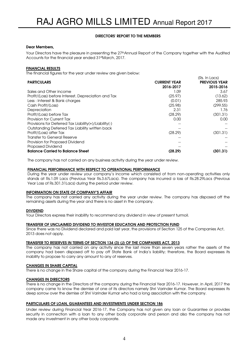# DIRECTORS' REPORT TO THE MEMBERS

# Dear Members,

Your Directors have the pleasure in presenting the 27<sup>th</sup>Annual Report of the Company together with the Audited Accounts for the financial year ended 31stMarch, 2017.

# FINANCIAL RESULTS

The financial figures for the year under review are given below:

|                                                       |                     | (Rs. In Lacs)        |
|-------------------------------------------------------|---------------------|----------------------|
| <b>PARTICULARS</b>                                    | <b>CURRENT YEAR</b> | <b>PREVIOUS YEAR</b> |
|                                                       | 2016-2017           | 2015-2016            |
| Sales and Other income                                | 1.09                | 3.67                 |
| Profit/(Loss) before Interest, Depreciation and Tax   | (25.97)             | (13.62)              |
| Less : Interest & Bank charges                        | (0.01)              | 285.93               |
| Cash Profit/(Loss)                                    | (25.98)             | (299.55)             |
| Depreciation                                          | 2.31                | 1.76                 |
| Profit/(Loss) before Tax                              | (28.29)             | (301.31)             |
| Provision for Current Tax                             | 0.00                | 0.00                 |
| Provisions for Deferred Tax Liability(+)/Liability(-) |                     |                      |
| Outstanding Deferred Tax Liability written back       |                     |                      |
| Profit/(Loss) after Tax                               | (28.29)             | (301.31)             |
| Transfer to General Reserve                           |                     |                      |
| Provision for Proposed Dividend                       |                     |                      |
| Proposed Dividend                                     |                     |                      |
| <b>Balance Carried to Balance Sheet</b>               | (28.29)             | (301.31)             |

The company has not carried on any business activity during the year under review.

#### FINANCIAL PERFORMANCE WITH RESPECT TO OPERATIONAL PERFORMANCE

During the year under review your company's income which consisted of from non-operating activities only stands at Rs.1.09 Lacs (Previous Year Rs.3.67Lacs). The company has incurred a loss of Rs.28.29Lacs (Previous Year Loss of Rs.301.31Lacs) during the period under review.

#### INFORMATION ON STATE OF COMPANY'S AFFAIR

The company has not carried any activity during the year under review. The company has disposed off the remaining assets during the year and there is no asset in the company.

# DIVIDEND

Your Directors express their inability to recommend any dividend in view of present turmoil.

# TRANSFER OF UNCLAIMED DIVIDEND TO INVESTOR EDUCATION AND PROTECTION FUND

Since there was no Dividend declared and paid last year, the provisions of Section 125 of the Companies Act, 2013 does not apply.

# TRANSFER TO RESERVES IN TERMS OF SECTION 134 (3) (J) OF THE COMPANIES ACT, 2013

The company has not carried on any activity since the last more than seven years rather the assets of the company had been disposed off to pay off State Bank of India's liability; therefore, the Board expresses its inability to propose to carry any amount to any of reserves.

#### CHANGES IN SHARE CAPITAL

There is no change in the Share capital of the company during the Financial Year 2016-17.

# CHANGES IN DIRECTORS

There is no change in the Directors of the company during the Financial Year 2016-17. However, in April, 2017 the company came to know the demise of one of its directors namely Shri Varinder Kumar. The Board expresses its deep sorrow over the demise of Shri Varinder Kumar who had a long association with the company.

# PARTICULARS OF LOAN, GUARANTEES AND INVESTMENTS UNDER SECTION 186

Under review during Financial Year 2016-17, the Company has not given any loan or Guarantee or provides security in connection with a loan to any other body corporate and person and also the company has not made any investment in any other body corporate.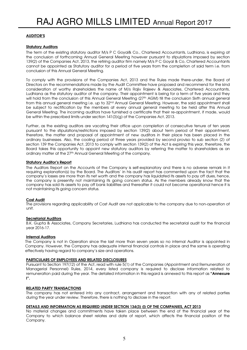# AUDITOR'S

# Statutory Auditors

The term of the existing statutory auditor M/s P C Goyal& Co., Chartered Accountants, Ludhiana, is expiring at the conclusion of forthcoming Annual General Meeting however pursuant to stipulations imposed by section 139(2) of the Companies Act, 2013, the retiring auditor firm namely M/s P C Goyal & Co, Chartered Accountants cannot be appointed as Statutory auditor for a period of five years from the completion of said term i.e. from conclusion of this Annual General Meeting.

To comply with the provisions of the Companies Act, 2013 and the Rules made there-under, the Board of Directors on the recommendations made by the Audit Committee have proposed and recommend for the kind consideration of worthy shareholders the name of M/s Rajiv Rajeev & Associates, Chartered Accountants, Ludhiana as the statutory auditor of the company. Their appointment is being for a term of five years and they will hold from the conclusion of this Annual General Meeting (27<sup>th</sup> AGM) till the conclusion Sixth annual general from this annual general meeting i.e. up to 32nd Annual General Meeting. However, the said appointment shall be subject to rectification by the members at every annual general meeting to be held after this Annual General Meeting. The incoming auditors have furnished a certificate that their re-appointment, if made, would be within the prescribed limits under section 141(3)(g) of the Companies Act, 2013.

Further, as the existing auditors are vacating their office upon completion of consecutive tenure of ten years pursuant to the stipulations/restrictions imposed by section 139(2) about term period of their appointment, therefore, the matter and proposal of appointment of new auditors in their place has been placed in the ordinary businesses. Also, the cooling period of three years provided by second proviso to sub section (2) of section 139 the Companies Act, 2013 to comply with section 139(2) of the Act is expiring this year, therefore, the Board takes this opportunity to appoint new statutory auditors by referring the matter to shareholders as an ordinary matter at the 27<sup>th</sup> Annual General Meeting of the company.

# Statutory Auditor's Report

The Auditors Report on the Accounts of the Company is self-explanatory and there is no adverse remark in it requiring explanation(s) by the Board. The Auditors' in his audit report has commented upon the fact that the company's losses are more than its net worth and the company has liquidated its assets to pay off dues, hence, the company is presently not maintaining its going concern status. As the members already know that the company has sold its assets to pay off bank liabilities and thereafter it could not become operational hence it is not maintaining its going concern status.

#### Cost Audit

The provisions regarding applicability of Cost Audit are not applicable to the company due to non-operation of unit.

#### Secretarial Auditors

B.K. Gupta & Associates, Company Secretaries, Ludhiana has conducted the secretarial audit for the financial year 2016-17.

#### Internal Auditors

The Company is not in Operation since the last more than seven years so no internal Auditor is appointed in Company. However, the Company has adequate internal financial controls in place and the same is operating effectively having regard to company's size and operations.

#### PARTICULARS OF EMPLOYEES AND RELATED DISCLOSURES

Pursuant to Section 197(12) of the Act, read with rule 5(1) of the Companies (Appointment and Remuneration of Managerial Personnel) Rules, 2014, every listed company is required to disclose information related to remuneration paid during the year. The detailed information in this regard is annexed to this report as "Annexure I".

#### RELATED PARTY TRANSACTIONS

The company has not entered into any contract, arrangement and transaction with any of related parties during the year under review. Therefore, there is nothing to disclose in the report.

#### DETAILS AND INFORMATION AS REQUIRED UNDER SECTION 134(3) (I) OF THE COMPANIES, ACT 2013

No material changes and commitments have taken place between the end of the financial year of the Company to which balance sheet relates and date of report, which affects the financial position of the Company.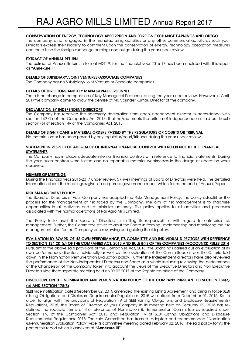# CONSERVATION OF ENERGY, TECHNOLOGY ABSORPTION AND FOREIGN EXCHANGE EARNINGS AND OUTGO

The company is not engaged in the manufacturing activities or any other commercial activity as such your Directors express their inability to comment upon the conservation of energy, technology absorption measures and there is no the foreign exchange earnings and outgo during the year under review.

### EXTRACT OF ANNUAL RETURN

The extract of Annual Return, in format MGT-9, for the financial year 2016-17 has been enclosed with this report as "Annexure II".

#### DETAILS OF SUBSIDIARY/JOINT VENTURES/ASSOCIATE COMPANIES

The Company has no Subsidiary/Joint Venture or Associate companies.

#### DETAILS OF DIRECTORS AND KEY MANAGERIAL PERSONNEL

There is no change in composition of Key Managerial Personnel during the year under review. However in April, 2017the company came to know the demise of Mr. Varinder Kumar, Director of the company.

# DECLARATION BY INDEPENDENT DIRECTORS

The Company has received the necessary declaration from each independent director in accordance with section 149 (7) of the Companies Act 2013, that he/she meets the criteria of independence as laid out in sub section (6) of section 149 of the Companies Act, 2013.

#### DETAILS OF SIGNIFICANT & MATERIAL ORDERS PASSED BY THE REGULATORS OR COURTS OR TRIBUNAL

No material order has been passed by any regulator/court/tribunal during the year under review.

#### STATEMENT IN RESPECT OF ADEQUACY OF INTERNAL FINANCIAL CONTROL WITH REFERENCE TO THE FINANCIAL STATEMENTS

The Company has in place adequate internal financial controls with reference to financial statements. During the year, such controls were tested and no reportable material weaknesses in the design or operation were observed.

### NUMBER OF MEETINGS

During the Financial year 2016-2017 under review, 5 (Five) meetings of Board of Directors were held. The detailed information about the meetings is given in corporate governance report which forms the part of Annual Report.

# RISK MANAGEMENT POLICY

The Board of Directors of your Company has adopted the Risks Management Policy. The policy establishes the process for the management of risk faced by the Company. The aim of risk management is to maximize opportunities in all activities and to minimize adversity. This policy applies to all activities and processes associated with the normal operations of Raj Agro Mills Limited.

The Policy is to assist the Board of Directors in fulfilling its responsibilities with regard to enterprise risk management. Further, the Committee strives to assist the Board in framing, implementing and monitoring the risk management plan for the Company and reviewing and guiding the risk policy.

#### EVALUATION BY BOARD OF ITS OWN PERFORMANCE, ITS COMMITTEE AND INDIVIDUAL DIRECTORS WITH REFERENCE TO SECTION 134 (3) (p) OF THE COMPANIES ACT, 2013 AND RULE 8(4) OF THE COMPANIES (ACCOUNTS) RULES 2014

Pursuant to the above said provisions of the Companies Act, 2013, the Board has carried out an evaluation of its own performance, directors individually as well as the evaluation of the Committees as per the Criteria laid down in the Nomination Remuneration Evaluation policy. Further the Independent directors have also reviewed the performance of the Non-Independent Directors and Board as a whole including reviewing the performance of the Chairperson of the Company taken into account the views of the Executive Directors and Non Executive Directors vide there separate meeting held on 09.02.2017 at the Registered office of the Company.

# DISCLOSURE ON THE NOMINATION AND REMUNERATION POLICY OF THE COMPANY PURSUANT TO SECTION 134(3) (e) AND SECTION 178(3)

SEBI vide notification dated September 02, 2015 amended the existing Listing Agreement and bring in force SEBI (Listing Obligations and Disclosure Requirements) Regulations, 2015 with effect from December 01, 2015. So, in order to align with the provisions of Regulation 19 of SEBI (Listing Obligations and Disclosure Requirements) Regulations, 2015, the Board of Directors of your Company in its meeting held on February 02, 2016 has redefined the requisite terms of the reference of Nomination & Remuneration Committee as required under Section 178 of the Companies Act, 2013 and Regulation 19 of SEBI (Listing Obligations and Disclosure Requirements) Regulations, 2015. The said Committee has framed, adopted and recommended "Nomination &Remuneration Evaluation Policy" vide its committee meeting dated February 02, 2016. The said policy forms the part of this report which is annexed at "Annexure III".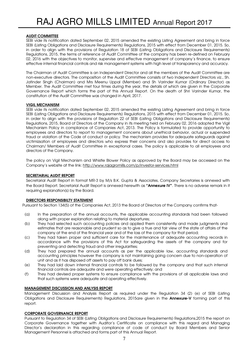# AUDIT COMMITTEE

SEBI vide its notification dated September 02, 2015 amended the existing Listing Agreement and bring in force SEBI (Listing Obligations and Disclosure Requirements) Regulations, 2015 with effect from December 01, 2015. So, in order to align with the provisions of Regulation 18 of SEBI (Listing Obligations and Disclosure Requirements) Regulations, 2015, the terms of reference of Audit Committee of the company has been re-defined on February 02, 2016 with the objectives to monitor, supervise and effective management of company's finance, to ensure effective internal financial controls and risk management systems with high level of transparency and accuracy.

The Chairman of Audit Committee is an Independent Director and all the members of the Audit Committee are non-executive directors. The composition of the Audit Committee consists of two Independent Directors viz., Sh. Jatinder Singh (Chairman) and Mrs Meenu Uppal (Member) and Sh Varinder Kumar (Ordinary Director) as Member. The Audit Committee met four times during the year, the details of which are given in the Corporate Governance Report which forms the part of this Annual Report. On the death of Shri Varinder Kumar, the constitution of the Audit Committee was changed in April, 2017.

# VIGIL MECHANISM

SEBI vide its notification dated September 02, 2015 amended the existing Listing Agreement and bring in force SEBI (Listing Obligations and Disclosure Requirements) Regulations, 2015 with effect from December 01, 2015. So, in order to align with the provisions of Regulation 22 of SEBI (Listing Obligations and Disclosure Requirements) Regulations, 2015, Board of Directors of the Company in its meeting held on February 02, 2016 adopted the Vigil Mechanism Policy in compliance of Companies Act, 2013. The Policy is formulated to provide opportunity to employees and directors to report to management concerns about unethical behavior, actual or suspended fraud or violation of the Code of conduct or policy. The mechanism provides for adequate safeguards against victimizsation of employees and directors who express their concerns and also provides for direct access to Chairman/ Members of Audit Committee in exceptional cases. The policy is applicable to all employees and directors of the Company.

The policy on Vigil Mechanism and Whistle Blower Policy as approved by the Board may be accessed on the Company's website at the link: http://www.rajagromills.com/p/investor-services.html

# SECRETARIAL AUDIT REPORT

Secretarial Audit Report in format MR-3 by M/s B.K. Gupta & Associates, Company Secretaries is annexed with the Board Report. Secretarial Audit Report is annexed herewith as "Annexure IV". There is no adverse remark in it requiring explanation(s) by the Board.

#### DIRECTORS RESPONSIBILTY STATEMENT

Pursuant to Section 134(5) of the Companies Act, 2013 the Board of Directors of the Company confirms that-

- (a) In the preparation of the annual accounts, the applicable accounting standards had been followed along with proper explanation relating to material departures;
- (b) They had selected such accounting policies and applied them consistently and made judgments and estimates that are reasonable and prudent so as to give a true and fair view of the state of affairs of the company at the end of the financial year and of the loss of the company for that period;
- (c) They had taken proper and sufficient care for the maintenance of adequate accounting records in accordance with the provisions of this Act for safeguarding the assets of the company and for preventing and detecting fraud and other irregularities;
- (d) They had prepared the annual accounts as per the applicable law, accounting standards and accounting principles however the company is not maintaining going concern due to non-operation of unit and as it has disposed off assets to pay off bank dues;
- (e) They had laid down internal financial controls to be followed by the company and that such internal financial controls are adequate and were operating effectively; and
- (f) They had devised proper systems to ensure compliance with the provisions of all applicable laws and that such systems were adequate and operating effectively.

# MANAGEMENT DISCUSSION AND ANLYSIS REPORT

Management Discussion and Analysis Report as required under the Regulation 34 (2) (e) of SEBI (Listing Obligations and Disclosure Requirements) Regulations, 2015are given in the **Annexure-V** forming part of this report.

#### CORPORATE GOVERNANCE REPORT

Pursuant to Regulation 34 of SEBI (Listing Obligations and Disclosure Requirements) Regulations,2015 the report on Corporate Governance together with Auditor's Certificate on compliance with this regard and Managing Director's declaration in this regarding compliance of code of conduct by Board Members and Senior Management Personnel is attached and forms part of this Annual Report.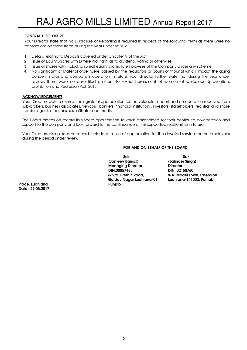# GENERAL DISCLOSURE

Your Director state that no Disclosure or Reporting is required in respect of the following items as there were no transactions on these items during the year under review.

- 1. Details relating to Deposits covered under Chapter V of the Act.
- 2. Issue of Equity Shares with Differential right, as to dividend, voting or otherwise.
- 3. Issue of shares with including sweat equity shares to employees of the Company under any scheme.
- 4. No significant or Material order were passed by the regulators or courts or tribunal which impact the going concern status and company's operation in future, your director further state that during the year under review, there were no case filed pursuant to sexual harassment of women at workplace (prevention, prohibition and Redressal) Act, 2013.

# ACKNOWLEDGEMENTS

Your Directors wish to express their grateful appreciation for the valuable support and co-operation received from sub-brokers, business associates, vendors, bankers, financial institutions, investors, stakeholders, registrar and share transfer agent, other business affiliates and media.

The Board places on record its sincere appreciation towards stakeholders for their continued co-operation and support to the company and look forward to the continuance of this supportive relationship in future.

Your Directors also places on record their deep sense of appreciation for the devoted services of the employees during the period under review.

# FOR AND ON BEHALF OF THE BOARD

 $Sd/-$  solid  $Sd/-$  (Sanjeev Bansal) (Jatinder Singh) Managing Director **Director**<br>DIN:00057485 **DIN:021**  DIN:00057485 DIN: 02150760 Gurdev Nagar Ludhiana-01, Ludhiana-141002, Punjab

8-A, Model Town, Extension

Place: Ludhiana Punjab Date : 29.05.2017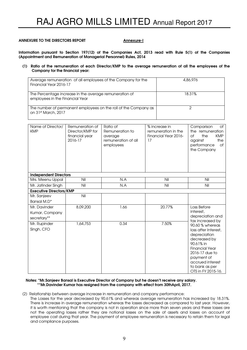#### ANNEXURE TO THE DIRECTORS REPORT ANNEXURE TO THE DIRECTORS REPORT

Information pursuant to Section 197(12) of the Companies Act, 2013 read with Rule 5(1) of the Companies (Appointment and Remuneration of Managerial Personnel) Rules, 2014

#### (1) Ratio of the remuneration of each Director/KMP to the average remuneration of all the employees of the Company for the financial year:

| Average remuneration of all employees of the Company for the<br>Financial Year 2016-17    | 4,86,976 |
|-------------------------------------------------------------------------------------------|----------|
| The Percentage increase in the average remuneration of<br>employees in the Financial Year | 18.31%   |
| The number of permanent employees on the roll of the Company as<br>on 31st March, 2017    |          |

| Name of Director/<br><b>KMP</b> | Remuneration of<br>Director/KMP for<br>financial year<br>2016-17 | Ratio of<br>Remuneration to<br>average<br>remuneration of all<br>employees | % increase in<br>remuneration in the<br>Financial Year 2016-<br>17 | Comparison<br>of<br>the remuneration<br><b>of</b><br>the<br><b>KMP</b><br>against<br>the<br>performance<br><b>of</b><br>the Company                                                                       |
|---------------------------------|------------------------------------------------------------------|----------------------------------------------------------------------------|--------------------------------------------------------------------|-----------------------------------------------------------------------------------------------------------------------------------------------------------------------------------------------------------|
| <b>Independent Directors</b>    |                                                                  |                                                                            |                                                                    |                                                                                                                                                                                                           |
| Mrs. Meenu Uppal                | Nil                                                              | N.A                                                                        | Nil                                                                | Nil                                                                                                                                                                                                       |
| Mr. Jatinder Singh              | Nil                                                              | N.A                                                                        | Nil                                                                | Nil                                                                                                                                                                                                       |
| <b>Executive Directors/KMP</b>  |                                                                  |                                                                            |                                                                    |                                                                                                                                                                                                           |
| Mr. Sanjeev                     | Nil                                                              |                                                                            |                                                                    |                                                                                                                                                                                                           |
| Bansal M.D*                     |                                                                  |                                                                            |                                                                    |                                                                                                                                                                                                           |
| Mr. Davinder                    | 8,09,200                                                         | 1.66                                                                       | 20.77%                                                             | Loss Before                                                                                                                                                                                               |
| Kumar, Company                  |                                                                  |                                                                            |                                                                    | interest,                                                                                                                                                                                                 |
| secretary**                     |                                                                  |                                                                            |                                                                    | depreciation and<br>tax increased by                                                                                                                                                                      |
| Mr. Rupinder<br>Singh, CFO      | 1,64,753                                                         | 0.34                                                                       | 7.50%                                                              | 90.60 % whereas<br>loss after Interest,<br>depreciation<br>decreased by<br>90.61% in<br><b>Financial Year</b><br>2016-17 due to<br>payment of<br>accrued interest<br>to bank as per<br>OTS in FY 2015-16. |

#### Notes: \*Mr.Sanjeev Bansal is Executive Director of Company but he doesn't receive any salary. \*\*Mr.Davinder Kumar has resigned from the company with effect from 30thApril, 2017.

(2) Relationship between average increase in remuneration and company performance:

 The Losses for the year decreased by 90.61% and whereas average remuneration has increased by 18.31%. There is increase in average remuneration whereas the losses decreased as compared to last year. However, it is worth mentioning that the company is not in operation since more than seven years and these losses are not the operating losses rather they are notional losses on the sale of assets and losses on account of employee cost during that year. The payment of employee remuneration is necessary to retain them for legal and compliance purposes.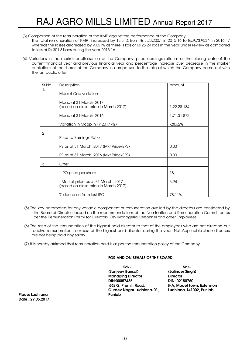- (3) Comparison of the remuneration of the KMP against the performance of the Company: The total remuneration of KMP increased by 18.31% from Rs.8,23,200/- in 2015-16 to Rs.9,73,953/- in 2016-17 whereas the losses decreased by 90.61% as there is loss of Rs.28.29 lacs in the year under review as compared to loss of Rs.301.31lacs during the year 2015-16.
- (4) Variations in the market capitalisation of the Company, price earnings ratio as at the closing date of the current financial year and previous financial year and percentage increase over decrease in the market quotations of the shares of the Company in comparison to the rate at which the Company came out with the last public offer:

| Sr No          | Description                                                                 | Amount      |
|----------------|-----------------------------------------------------------------------------|-------------|
| 1.             |                                                                             |             |
|                | Market Cap variation                                                        |             |
|                |                                                                             |             |
|                | Mcap at 31 March, 2017                                                      |             |
|                | (based on close price in March 2017)                                        | 1,22,28,184 |
|                | Mcap at 31 March, 2016                                                      | 1,71,31,872 |
|                |                                                                             |             |
|                | Variation in Mcap in FY 2017 (%)                                            | -28.62%     |
|                |                                                                             |             |
| $\overline{2}$ |                                                                             |             |
|                | Price-to-Earnings Ratio                                                     |             |
|                |                                                                             |             |
|                | PE as at 31 March, 2017 (Mkt Price/EPS)                                     | 0.00        |
|                | PE as at 31 March, 2016 (Mkt Price/EPS)                                     | 0.00        |
|                |                                                                             |             |
| 3              | Offer                                                                       |             |
|                |                                                                             |             |
|                | - IPO price per share                                                       | 18          |
|                |                                                                             | 3.94        |
|                | - Market price as at 31 March, 2017<br>(based on close price in March 2017) |             |
|                |                                                                             |             |
|                | % decrease from last IPO                                                    | 78.11%      |

- (5) The key parameters for any variable component of remuneration availed by the directors are considered by the Board of Directors based on the recommendations of the Nomination and Remuneration Committee as per the Remuneration Policy for Directors, Key Managerial Personnel and other Employees.
- (6) The ratio of the remuneration of the highest paid director to that of the employees who are not directors but receive remuneration in excess of the highest paid director during the year: Not Applicable since directors are not being paid any salary.
- (7) It is hereby affirmed that remuneration paid is as per the remuneration policy of the Company.

#### FOR AND ON BEHALF OF THE BOARD

 $Sd/-$  solid  $Sd/-$  (Sanjeev Bansal) (Jatinder Singh) Managing Director **Director**<br>DIN:00057485 **DIN:021**  DIN:00057485 DIN: 02150760 Gurdev Nagar Ludhiana-01, Ludhiana-141002, Punjab

8-A, Model Town, Extension

Place: Ludhiana Punjab Date : 29.05.2017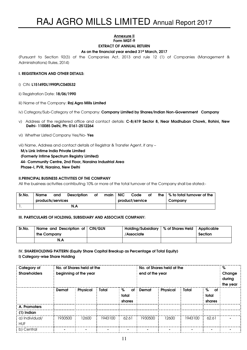#### Annexure II Form MGT-9

# EXTRACT OF ANNUAL RETURN

# As on the financial year ended 31st March, 2017

(Pursuant to Section 92(3) of the Companies Act, 2013 and rule 12 (1) of Companies (Management & Administrations) Rules, 2014)

# I. REGISTRATION AND OTHER DETAILS:

- i) CIN: L15149DL1990PLC040532
- ii) Registration Date: 18/06/1990
- iii) Name of the Company: Raj Agro Mills Limited
- iv) Category/Sub-Category of the Company: Company Limited by Shares/Indian Non-Government Company
- v) Address of the registered office and contact details: C-8/419 Sector 8, Near Madhuban Chowk, Rohini, New Delhi- 110085 Delhi, Ph: 0161-2512264
- vi) Whether Listed Company Yes/No- Yes

vii) Name, Address and contact details of Registrar & Transfer Agent, if any –

 M/s Link Intime India Private Limited (Formerly Intime Spectrum Registry Limited) 44- Community Centre, 2nd Floor, Naraina Industrial Area Phase-I, PVR, Naraina, New Delhi

#### II.PRINCIPAL BUSINESS ACTIVITIES OF THE COMPANY

All the business activities contributing 10% or more of the total turnover of the Company shall be stated:-

| Sr.No. | <b>Name</b>       | and | Description | Οf | main | <b>NIC</b> | Code            | Оf | the I | % to total turnover of the |  |
|--------|-------------------|-----|-------------|----|------|------------|-----------------|----|-------|----------------------------|--|
|        | products/services |     |             |    |      |            | product/service |    |       | Company                    |  |
|        | N.A               |     |             |    |      |            |                 |    |       |                            |  |

#### III. PARTICULARS OF HOLDING, SUBSIDIARY AND ASSOCIATE COMPANY:

| Sr.No. | Name and Description of CIN/GLN<br>the Company | Holding/Subsidiary   % of Shares Held   Applicable<br>/Associate | Section |
|--------|------------------------------------------------|------------------------------------------------------------------|---------|
|        | N.A                                            |                                                                  |         |

# IV. SHAREHOLDING PATTERN (Equity Share Capital Breakup as Percentage of Total Equity)

I) Category-wise Share Holding

| Category of<br><b>Shareholders</b> |         | No. of Shares held at the<br>beginning of the year |              | No. of Shares held at the<br>end of the year |         |                 |         | %<br>Change<br>during<br>the year |  |
|------------------------------------|---------|----------------------------------------------------|--------------|----------------------------------------------|---------|-----------------|---------|-----------------------------------|--|
|                                    | Demat   | <b>Physical</b>                                    | <b>Total</b> | $\%$<br><b>of</b><br>total<br>shares         | Demat   | <b>Physical</b> | Total   | %<br>Оf<br>total<br>shares        |  |
| A. Promoters                       |         |                                                    |              |                                              |         |                 |         |                                   |  |
| (1) Indian                         |         |                                                    |              |                                              |         |                 |         |                                   |  |
| a) Individual/<br><b>HUF</b>       | 1930500 | 12600                                              | 1943100      | 62.61                                        | 1930500 | 12600           | 1943100 | 62.61                             |  |
| b) Central                         |         |                                                    |              |                                              |         |                 |         |                                   |  |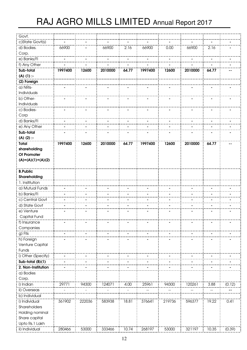| Govt.               |         |        |         |       |         |        |         |       |        |
|---------------------|---------|--------|---------|-------|---------|--------|---------|-------|--------|
| c)State Govt(s)     |         |        |         |       |         |        |         |       |        |
| d) Bodies.          | 66900   |        | 66900   | 2.16  | 66900   | 0.00   | 66900   | 2.16  |        |
| Corp.               |         |        |         |       |         |        |         |       |        |
| e) Banks/Fl         |         |        |         |       |         |        |         |       |        |
|                     |         |        |         |       |         |        |         |       |        |
| f) Any Other        |         |        |         |       |         |        |         |       |        |
| Sub-total           | 1997400 | 12600  | 2010000 | 64.77 | 1997400 | 12600  | 2010000 | 64.77 |        |
| $(A)$ (1) :-        |         |        |         |       |         |        |         |       |        |
| (2) Foreign         |         |        |         |       |         |        |         |       |        |
| a) NRIs-            |         |        |         |       |         |        |         |       |        |
| Individuals         |         |        |         |       |         |        |         |       |        |
| b) Other-           |         |        |         |       |         |        |         |       |        |
| Individuals         |         |        |         |       |         |        |         |       |        |
| c) Bodies-          |         |        |         |       |         |        |         |       |        |
| Corp                |         |        |         |       |         |        |         |       |        |
| d) Banks/Fl         |         |        |         |       |         |        |         |       |        |
| e) Any Other        |         |        |         |       |         |        |         |       |        |
| Sub-total           |         |        |         |       |         |        |         |       |        |
| $(A)$ (2) :-        |         |        |         |       |         |        |         |       |        |
| <b>Total</b>        | 1997400 | 12600  | 2010000 | 64.77 | 1997400 | 12600  | 2010000 | 64.77 |        |
| shareholding        |         |        |         |       |         |        |         |       |        |
| Of Promoter         |         |        |         |       |         |        |         |       |        |
| $(A)=(A)(1)+(A)(2)$ |         |        |         |       |         |        |         |       |        |
|                     |         |        |         |       |         |        |         |       |        |
| <b>B.Public</b>     |         |        |         |       |         |        |         |       |        |
| Shareholding        |         |        |         |       |         |        |         |       |        |
| 1. Institution      |         |        |         |       |         |        |         |       |        |
| a) Mutual Funds     |         |        |         |       |         |        |         |       |        |
| b) Banks/Fl         |         |        |         |       |         |        |         |       |        |
| c) Central Govt     |         |        |         |       |         |        |         |       |        |
| d) State Govt       |         |        |         |       |         |        |         |       |        |
| e) Venture          |         |        |         |       |         |        |         |       |        |
| Capital Fund        |         |        |         |       |         |        |         |       |        |
| f) Insurance        |         |        |         |       |         |        |         |       |        |
| Companies           |         |        |         |       |         |        |         |       |        |
| g) Flls             |         |        |         |       |         |        |         |       |        |
| h) Foreign          |         |        |         |       |         |        |         |       |        |
| Venture Capital     |         |        |         |       |         |        |         |       |        |
| Funds               |         |        |         |       |         |        |         |       |        |
| i) Other (Specify)  |         |        |         |       |         |        |         |       |        |
| Sub-total (B)(1)    |         |        |         |       |         |        |         |       |        |
| 2. Non-Institution  |         |        |         |       |         |        |         |       |        |
|                     |         |        |         |       |         |        |         |       |        |
| a) Bodies           |         |        |         |       |         |        |         |       |        |
| Corp.               |         |        |         |       |         |        |         |       |        |
| i) Indian           | 29771   | 94300  | 124071  | 4.00  | 25961   | 94300  | 120261  | 3.88  | (0.12) |
| ii) Overseas        |         |        |         |       |         |        |         |       |        |
| b) Individual       |         |        |         |       |         |        |         |       |        |
| i) Individual       | 361902  | 222036 | 583938  | 18.81 | 376641  | 219736 | 596377  | 19.22 | 0.41   |
| Shareholders        |         |        |         |       |         |        |         |       |        |
| Holding nominal     |         |        |         |       |         |        |         |       |        |
| Share capital       |         |        |         |       |         |        |         |       |        |
| Upto Rs.1 Lakh      |         |        |         |       |         |        |         |       |        |
| ii) Individual      | 280466  | 53000  | 333466  | 10.74 | 268197  | 53000  | 321197  | 10.35 | (0.39) |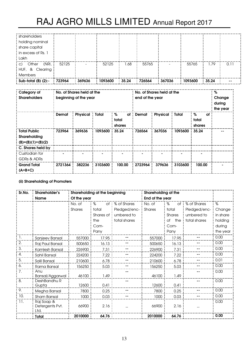| shareholders                 |        |        |         |       |        |        |         |       |      |
|------------------------------|--------|--------|---------|-------|--------|--------|---------|-------|------|
| holding nominal              |        |        |         |       |        |        |         |       |      |
| share capital                |        |        |         |       |        |        |         |       |      |
| in excess of Rs. 1           |        |        |         |       |        |        |         |       |      |
| Lakh                         |        |        |         |       |        |        |         |       |      |
| $\cdot$ C)<br>Other<br>(NRI, | 52125  |        | 52125   | .68   | 55765  |        | 55765   | 1.79  | 0.11 |
| HUF, & Clearing              |        |        |         |       |        |        |         |       |      |
| Members                      |        |        |         |       |        |        |         |       |      |
| Sub-total $(B)$ $(2)$ -      | 723964 | 369636 | 1093600 | 35.24 | 726564 | 367036 | 1093600 | 35.24 |      |

| Category of<br><b>Shareholders</b>                  | No. of Shares held at the<br>beginning of the year |                 |         | No. of Shares held at the<br>end of the year |              |                 |         | $\%$<br>Change<br>during<br>the year |  |
|-----------------------------------------------------|----------------------------------------------------|-----------------|---------|----------------------------------------------|--------------|-----------------|---------|--------------------------------------|--|
|                                                     | Demat                                              | <b>Physical</b> | Total   | . %<br>Οf<br>total<br>shares                 | <b>Demat</b> | <b>Physical</b> | Total   | . %<br>Οf<br>total<br>shares         |  |
| Total Public<br>Shareholding<br>$(B)=(B)(1)+(B)(2)$ | 723964                                             | 369636          | 1093600 | 35.24<br>$\mathbf{u}$                        | 726564       | 367036          | 1093600 | 35.24                                |  |
| C. Shares held by                                   |                                                    |                 |         |                                              |              |                 |         |                                      |  |
| Custodian for<br>GDRs & ADRs                        |                                                    |                 |         |                                              |              |                 |         |                                      |  |
| <b>Grand Total</b><br>$(A+B+C)$                     | 2721364                                            | 382236          | 3103600 | 100.00                                       | 2723964      | 379636          | 3103600 | 100.00                               |  |

# (ii) Shareholding of Promoters

| Sr.No. | Shareholder's                 |               | Shareholding at the beginning |                | Shareholding at the |               |              |          |
|--------|-------------------------------|---------------|-------------------------------|----------------|---------------------|---------------|--------------|----------|
|        | <b>Name</b>                   | Of the year   |                               |                | End of the year     |               |              |          |
|        |                               | No. of        | %                             | of % of Shares | No. of              | %<br>of :     | % of Shares  | %        |
|        |                               | <b>Shares</b> | total                         | Pledged/enc-   | Shares              | total         | Pledged/enc- | Change   |
|        |                               |               | Shares of :                   | umbered to     |                     | <b>Shares</b> | umbered to   | in share |
|        |                               |               | the                           | total shares   |                     | the<br>Οf     | total shares | holding  |
|        |                               |               | Com-                          |                |                     | Com-          |              | during   |
|        |                               |               | Pany                          |                |                     | Pany          |              | the year |
| -1.    | Sanjeev Bansal                | 557000        | 17.95                         |                | 557000              | 17.95         |              | 0.00     |
| 2.     | Raj Paul Bansal               | 500650 :      | 16.13                         |                | 500650              | 16.13         |              | 0.00     |
| 3.     | Kamlesh Bansal                | 226900        | 7.31                          |                | 226900              | 7.31          |              | 0.00     |
| 4.     | Sahil Bansal                  | 224200        | 7.22                          |                | 224200              | 7.22          |              | 0.00     |
| 5.     | Salil Bansal                  | 210600        | 6.78                          |                | 210600              | 6.78          |              | 0.01     |
| 6.     | Rama Bansal                   | 156250        | 5.03                          |                | 156250              | 5.03          |              | 0.00     |
| 7.     | Anu                           |               |                               |                |                     |               |              | 0.00     |
|        | Bansal/Aggarwal               | 46100         | 1.49                          |                | 46100               | 1.49          |              |          |
| 8.     | DeshBandhu R                  | 12600         | 0.41                          |                | 12600               | 0.41          |              | 0.00     |
| 9.     | Gupta<br>Megha Bansal         | 7800          | 0.25                          |                | 7800 ·              | 0.25          |              | 0.00     |
| 10.    |                               |               |                               |                |                     |               |              | 0.00     |
| 11.    | Sham Bansal                   | 1000          | 0.03                          |                | 1000                | 0.03          |              |          |
|        | Raj Soap &<br>Detergents Pvt. | 66900         | 2.16                          |                | 66900               | 2.16          |              | 0.00     |
|        | Ltd.                          |               |                               |                |                     |               |              |          |
|        | <b>Total</b>                  | 2010000       | 64.76                         |                | 2010000             | 64.76         |              | .0.00    |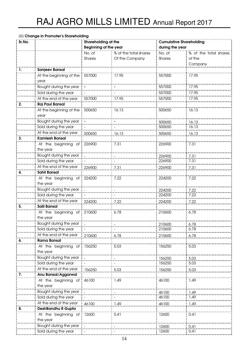|        | (iii) Change in Promoter's Shareholding |                              |                       |                                |                       |  |
|--------|-----------------------------------------|------------------------------|-----------------------|--------------------------------|-----------------------|--|
| Sr.No. |                                         | Shareholding at the          |                       | <b>Cumulative Shareholding</b> |                       |  |
|        |                                         | <b>Beginning of the year</b> |                       | during the year                |                       |  |
|        |                                         | No. of                       | % of the total shares | No. of                         | % of the total shares |  |
|        |                                         | Shares                       | Of the Company        | Shares                         | of the                |  |
| -1.    | <b>Sanjeev Bansal</b>                   |                              |                       |                                | Company               |  |
|        | At the beginning of the                 | 557000                       | 17.95                 | 557000                         | 17.95                 |  |
|        | year                                    |                              |                       |                                |                       |  |
|        | Bought during the year                  |                              |                       | 557000                         | 17.95                 |  |
|        | Sold during the year                    |                              |                       | 557000                         | 17.95                 |  |
|        | At the end of the year                  | 557000                       | 17.95                 | 557000                         | 17.95                 |  |
| 2.     | <b>Raj Paul Bansal</b>                  |                              |                       |                                |                       |  |
|        | At the beginning of the                 | 500650                       | 16.13                 | 500650                         | 16.13                 |  |
|        | year                                    |                              |                       |                                |                       |  |
|        | Bought during the year                  |                              |                       | 500650                         | 16.13                 |  |
|        | Sold during the year                    |                              |                       | 500650                         | 16.13                 |  |
|        | At the end of the year                  | 500650                       | 16.13                 | 500650                         | 16.13                 |  |
| 3.     | <b>Kamlesh Bansal</b>                   |                              |                       |                                |                       |  |
|        | At the beginning of                     | 226900                       | 7.31                  | 226900                         | 7.31                  |  |
|        | the year                                |                              |                       |                                |                       |  |
|        | Bought during the year                  |                              |                       | 226900                         | 7.31                  |  |
|        | Sold during the year                    |                              |                       | 226900                         | 7.31                  |  |
|        | At the end of the year                  | 226900                       | 7.31                  | 226900                         | 7.31                  |  |
| 4.     | <b>Sahil Bansal</b>                     |                              |                       |                                |                       |  |
|        | At the beginning of                     | 224200                       | 7.22                  | 224200                         | 7.22                  |  |
|        | the year                                |                              |                       |                                |                       |  |
|        | Bought during the year                  |                              |                       | 224200                         | 7.22                  |  |
|        | Sold during the year                    |                              |                       | 224200                         | 7.22                  |  |
|        | At the end of the year                  | 224200                       | 7.22                  | 224200                         | 7.22                  |  |
| 5.     | <b>Salil Bansal</b>                     |                              |                       |                                |                       |  |
|        | At the beginning of                     | 210600                       | 6.78                  | 210600                         | 6.78                  |  |
|        | the year                                |                              |                       |                                |                       |  |
|        | Bought during the year                  |                              |                       | 210600                         | 6.78                  |  |
|        | Sold during the year                    |                              |                       | 210600                         | 6.78                  |  |
|        | At the end of the year                  | 210600                       | 6.78                  | 210600                         | 6.78                  |  |
| 6.     | <b>Rama Bansal</b>                      |                              |                       |                                |                       |  |
|        | At the beginning of                     | 156250                       | 5.03                  | 156250                         | 5.03                  |  |
|        | the year                                |                              |                       |                                |                       |  |
|        | Bought during the year                  |                              |                       | 156250                         | 5.03                  |  |
|        | Sold during the year                    |                              |                       | 156250                         | 5.03                  |  |
|        | At the end of the year                  | 156250                       | 5.03                  | 156250                         | 5.03                  |  |
| 7.     | Anu Bansal/Aggarwal                     |                              |                       |                                |                       |  |
|        | At the beginning of                     | 46100                        | 1.49                  | 46100                          | 1.49                  |  |
|        | the year                                |                              |                       |                                |                       |  |
|        | Bought during the year                  |                              |                       | 46100                          | 1.49                  |  |
|        | Sold during the year                    |                              |                       | 46100                          | 1.49                  |  |
|        | At the end of the year                  | 46100                        | 1.49                  | 46100                          | 1.49                  |  |
| 8.     | DeshBandhu R Gupta                      |                              |                       |                                |                       |  |
|        | At the beginning of                     | 12600                        | 0.41                  | 12600                          | 0.41                  |  |
|        | the year                                |                              |                       |                                |                       |  |
|        | Bought during the year                  |                              |                       | 12600                          | 0.41                  |  |
|        | Sold during the year                    |                              |                       | 12600                          | 0.41                  |  |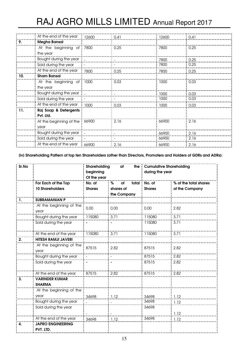|     | At the end of the year 12600  |       | 0.41 | 12600 | 0.41   |
|-----|-------------------------------|-------|------|-------|--------|
| 9.  | <b>Megha Bansal</b>           |       |      |       |        |
|     | At the beginning of 7800      |       | 0.25 | 7800  | 0.25   |
|     | the year                      |       |      |       |        |
|     | Bought during the year        |       |      | 7800  | .0.25  |
|     | Sold during the year          |       |      | 7800  | 0.25   |
|     | At the end of the year 7800   |       | 0.25 | 7800  | 0.25   |
| 10. | <b>Sham Bansal</b>            |       |      |       |        |
|     | At the beginning of 1000      |       | 0.03 | 1000  | 0.03   |
|     | the year                      |       |      |       |        |
|     | Bought during the year L      |       |      | 1000  | 0.03   |
|     | Sold during the year          |       |      | 1000  | 0.03   |
|     | At the end of the year        | 1000  | 0.03 | 1000  | 0.03   |
| 11. | Raj Soap & Detergents         |       |      |       |        |
|     | Pvt. Ltd.                     |       |      |       |        |
|     | At the beginning of the 66900 |       | 2.16 | 66900 | 2.16   |
|     | year                          |       |      |       |        |
|     | Bought during the year __     |       |      | 66900 | 2.16   |
|     | Sold during the year          |       |      | 66900 | . 2.16 |
|     | At the end of the year        | 66900 | 2.16 | 66900 | 2.16   |

(iv) Shareholding Pattern of top ten Shareholders (other than Directors, Promoters and Holders of GDRs and ADRs):

| Sr.No |                                        | Shareholding<br>at<br>the<br>beginning<br>Of the year |                  | <b>Cumulative Shareholding</b><br>during the year |                       |
|-------|----------------------------------------|-------------------------------------------------------|------------------|---------------------------------------------------|-----------------------|
|       | For Each of the Top                    | No. of                                                | total<br>%<br>of | No. of                                            | % of the total shares |
|       | <b>10 Shareholders</b>                 | <b>Shares</b>                                         | shares of        | <b>Shares</b>                                     | of the Company        |
|       |                                        |                                                       | the Company      |                                                   |                       |
| 1.    | <b>SUBRAMANIAN P</b>                   |                                                       |                  |                                                   |                       |
|       | At the beginning of the<br>year        | 0.00                                                  | 0.00             | 0.00                                              | 2.82                  |
|       | Bought during the year                 | 115080                                                | 3.71             | 115080                                            | 3.71                  |
|       | Sold during the year                   |                                                       | $\blacksquare$   | 115080                                            | 3.71                  |
|       | At the end of the year                 | 115080                                                | 3.71             | 115080                                            | 3.71                  |
| 2.    | <b>HITESH RAMJI JAVERI</b>             |                                                       |                  |                                                   |                       |
|       | At the beginning of the<br>year        | 87515                                                 | 2.82             | 87515                                             | 2.82                  |
|       | Bought during the year                 |                                                       |                  | 87515                                             | 2.82                  |
|       | Sold during the year                   |                                                       |                  | 87515                                             | 2.82                  |
|       | At the end of the year                 | 87515                                                 | 2.82             | 87515                                             | 2.82                  |
| 3.    | <b>VARINDER KUMAR</b><br><b>SHARMA</b> |                                                       |                  |                                                   |                       |
|       | At the beginning of the                |                                                       |                  |                                                   |                       |
|       | year                                   | 34698                                                 | 1.12             | 34698                                             | 1.12                  |
|       | Bought during the year                 |                                                       |                  | 34698                                             | 1.12                  |
|       | Sold during the year                   |                                                       |                  | 34698                                             | 1.12                  |
|       | At the end of the year                 | 34698                                                 | 1.12             | 34698                                             | 1.12                  |
| 4.    | <b>JAPRO ENGINEERING</b><br>PVT. LTD.  |                                                       |                  |                                                   |                       |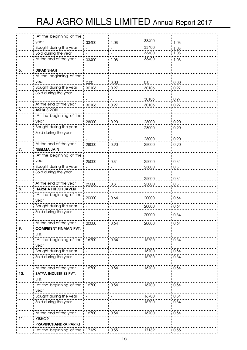|     | At the beginning of the      |       |      |       |      |
|-----|------------------------------|-------|------|-------|------|
|     | year                         | 33400 | 1.08 | 33400 | 1.08 |
|     | Bought during the year       |       |      | 33400 | 1.08 |
|     | Sold during the year         |       |      | 33400 | 1.08 |
|     | At the end of the year       | 33400 | 1.08 | 33400 | 1.08 |
|     |                              |       |      |       |      |
| 5.  | <b>DIPAK SHAH</b>            |       |      |       |      |
|     | At the beginning of the      |       |      |       |      |
|     | year                         | 0.00  | 0.00 | 0.0   | 0.00 |
|     | Bought during the year       | 30106 | 0.97 | 30106 | 0.97 |
|     | Sold during the year         |       |      |       |      |
|     |                              |       |      | 30106 | 0.97 |
|     | At the end of the year       | 30106 | 0.97 | 30106 | 0.97 |
| 6.  | <b>ASHA SIROHI</b>           |       |      |       |      |
|     | At the beginning of the      |       |      |       |      |
|     | year                         |       |      |       |      |
|     | Bought during the year       | 28000 | 0.90 | 28000 | 0.90 |
|     | Sold during the year         |       |      | 28000 | 0.90 |
|     |                              |       |      |       |      |
|     | At the end of the year       |       |      | 28000 | 0.90 |
| 7.  | <b>NEELMA JAIN</b>           | 28000 | 0.90 | 28000 | 0.90 |
|     |                              |       |      |       |      |
|     | At the beginning of the      |       |      |       |      |
|     | year                         | 25000 | 0.81 | 25000 | 0.81 |
|     | Bought during the year       |       |      | 25000 | 0.81 |
|     | Sold during the year         |       |      |       |      |
|     |                              |       |      | 25000 | 0.81 |
|     | At the end of the year       | 25000 | 0.81 | 25000 | 0.81 |
| 8.  | <b>HARSHA HITESH JAVERI</b>  |       |      |       |      |
|     | At the beginning of the      | 20000 | 0.64 | 20000 | 0.64 |
|     | year                         |       |      |       |      |
|     | Bought during the year       |       |      | 20000 | 0.64 |
|     | Sold during the year         |       |      | 20000 | 0.64 |
|     | At the end of the year       | 20000 | 0.64 | 20000 | 0.64 |
| 9.  | <b>COMPETENT FINMAN PVT.</b> |       |      |       |      |
|     | LTD.                         |       |      |       |      |
|     | At the beginning of the      | 16700 | 0.54 | 16700 | 0.54 |
|     | year                         |       |      |       |      |
|     | Bought during the year       |       |      | 16700 | 0.54 |
|     | Sold during the year         |       |      | 16700 | 0.54 |
|     |                              |       |      |       |      |
|     | At the end of the year       | 16700 | 0.54 | 16700 | 0.54 |
| 10. | SATYA INDUSTRIES PVT.        |       |      |       |      |
|     | LTD.                         |       |      |       |      |
|     | At the beginning of the      | 16700 | 0.54 | 16700 | 0.54 |
|     | year                         |       |      |       |      |
|     | Bought during the year       |       |      | 16700 | 0.54 |
|     | Sold during the year         |       |      | 16700 | 0.54 |
|     |                              |       |      |       |      |
|     | At the end of the year       | 16700 | 0.54 | 16700 | 0.54 |
| 11. | <b>KISHOR</b>                |       |      |       |      |
|     | <b>PRAVINCHANDRA PARIKH</b>  |       |      |       |      |
|     | At the beginning of the      | 17139 | 0.55 | 17139 | 0.55 |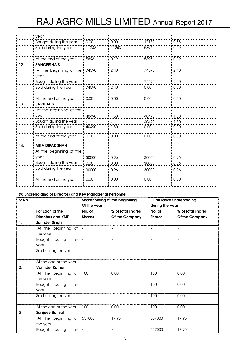|     | year                            |       |       |       |      |
|-----|---------------------------------|-------|-------|-------|------|
|     | Bought during the year          | 0.00  | 0.00  | 17139 | 0.55 |
|     | Sold during the year            | 11243 | 11243 | 5896  | 0.19 |
|     | At the end of the year          | 5896  | 0.19  | 5896  | 0.19 |
| 12. | <b>SANGEETHA S</b>              |       |       |       |      |
|     | At the beginning of the<br>year | 74590 | 2.40  | 74590 | 2.40 |
|     | Bought during the year          |       |       | 74590 | 2.40 |
|     | Sold during the year            | 74590 | 2.40  | 0.00  | 0.00 |
|     | At the end of the year          | 0.00  | 0.00  | 0.00  | 0.00 |
| 13. | <b>SAVITHA S</b>                |       |       |       |      |
|     | At the beginning of the         |       |       |       |      |
|     | year                            | 40490 | 1.30  | 40490 | 1.30 |
|     | Bought during the year          |       |       | 40490 | 1.30 |
|     | Sold during the year            | 40490 | 1.30  | 0.00  | 0.00 |
|     | At the end of the year          | 0.00  | 0.00  | 0.00  | 0.00 |
| 14. | <b>MITA DIPAK SHAH</b>          |       |       |       |      |
|     | At the beginning of the         |       |       |       |      |
|     | year                            | 30000 | 0.96  | 30000 | 0.96 |
|     | Bought during the year          | 0.00  | 0.00  | 30000 | 0.96 |
|     | Sold during the year            | 30000 | 0.96  | 30000 | 0.96 |
|     | At the end of the year          | 0.00  | 0.00  | 0.00  | 0.00 |

# (v) Shareholding of Directors and Key Managerial Personnel:

| Sr.No. |                            | Shareholding at the beginning |                   |                 | <b>Cumulative Shareholding</b> |  |  |
|--------|----------------------------|-------------------------------|-------------------|-----------------|--------------------------------|--|--|
|        |                            | Of the year                   |                   | during the year |                                |  |  |
|        | For Each of the            | No. of                        | % of total shares | No. of          | % of total shares              |  |  |
|        | <b>Directors and KMP</b>   | <b>Shares</b>                 | Of the Company    | <b>Shares</b>   | Of the Company                 |  |  |
| -1.    | <b>Jatinder Singh</b>      |                               |                   |                 |                                |  |  |
|        | At the beginning of        |                               |                   |                 |                                |  |  |
|        | the year                   |                               |                   |                 |                                |  |  |
|        | Bought during<br>the       |                               |                   |                 |                                |  |  |
|        | year                       |                               |                   |                 |                                |  |  |
|        | Sold during the year       |                               |                   |                 |                                |  |  |
|        |                            |                               |                   |                 |                                |  |  |
|        | At the end of the year     |                               |                   |                 |                                |  |  |
| 2.     | <b>Varinder Kumar</b>      |                               |                   |                 |                                |  |  |
|        | At the beginning of 100    |                               | 0.00              | 100             | 0.00                           |  |  |
|        | the year                   |                               |                   |                 |                                |  |  |
|        | Bought during<br>the       |                               |                   | 100             | 0.00                           |  |  |
|        | year                       |                               |                   |                 |                                |  |  |
|        | Sold during the year       | $\overline{\phantom{a}}$      |                   | 100             | 0.00                           |  |  |
|        |                            |                               |                   |                 |                                |  |  |
|        | At the end of the year     | 100                           | 0.00              | 100             | 0.00                           |  |  |
| 3      | <b>Sanjeev Bansal</b>      |                               |                   |                 |                                |  |  |
|        | At the beginning of 557000 |                               | 17.95             | 557000          | 17.95                          |  |  |
|        | the year                   |                               |                   |                 |                                |  |  |
|        | Bought<br>during<br>the    |                               |                   | 557000          | 17.95                          |  |  |
|        |                            |                               |                   |                 |                                |  |  |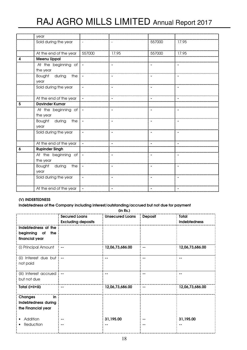|   | year                    |                          |                          |                |                          |
|---|-------------------------|--------------------------|--------------------------|----------------|--------------------------|
|   | Sold during the year    | $\overline{\phantom{a}}$ |                          | 557000         | 17.95                    |
|   | At the end of the year  | 557000                   | 17.95                    | 557000         | 17.95                    |
| 4 | <b>Meenu Uppal</b>      |                          |                          |                |                          |
|   | At the beginning of     |                          |                          |                |                          |
|   | the year                |                          |                          |                |                          |
|   | Bought during<br>the    |                          |                          |                |                          |
|   | year                    |                          |                          |                |                          |
|   | Sold during the year    |                          |                          |                |                          |
|   |                         |                          |                          |                |                          |
|   | At the end of the year  |                          |                          |                |                          |
| 5 | <b>Davinder Kumar</b>   |                          |                          |                |                          |
|   | At the beginning of   - |                          | $\blacksquare$           |                |                          |
|   | the year                |                          |                          |                |                          |
|   | Bought during<br>the    |                          | $\blacksquare$           |                |                          |
|   | year                    |                          |                          |                |                          |
|   | Sold during the year    | $\overline{\phantom{a}}$ | $\overline{\phantom{a}}$ | $\blacksquare$ | $\overline{\phantom{a}}$ |
|   |                         |                          |                          |                |                          |
|   | At the end of the year  |                          |                          |                |                          |
| 6 | <b>Rupinder Singh</b>   |                          |                          |                |                          |
|   | At the beginning of   - |                          |                          |                |                          |
|   | the year                |                          |                          |                |                          |
|   | Bought during<br>the    | $\overline{\phantom{a}}$ | $\blacksquare$           | $\blacksquare$ | $\blacksquare$           |
|   | year                    |                          |                          |                |                          |
|   | Sold during the year    | $\blacksquare$           | $\blacksquare$           | $\blacksquare$ | $\blacksquare$           |
|   |                         |                          |                          |                |                          |
|   | At the end of the year  |                          |                          |                |                          |

# (V) INDEBTEDNESS

#### Indebtedness of the Company including interest/outstanding/accrued but not due for payment

(in Rs.) Unsecured Loans Deposit Total Secured Loans Excluding deposits Indebtedness  $\frac{1}{2}$ Indebtedness at the beginning of the financial year (i) Principal Amount -- 12,06,73,686.00 -- 12,06,73,686.00 (ii) Interest due but -- -- -- - not paid (iii) Interest accrued -- -- -- - but not due Total (i+ii+iii) -- 12,06,73,686.00 -- 12,06,73,686.00 . . . . . . . . Changes in Indebtedness during the Financial year • Addition 31,195.00 31,195.00 -- -- • Reduction -- -- -- --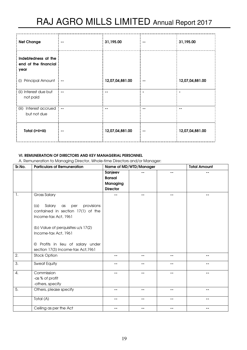| <b>Net Change</b>                                   |               | 31,195.00       | 31,195.00       |
|-----------------------------------------------------|---------------|-----------------|-----------------|
| Indebtedness at the<br>end of the financial<br>year |               |                 |                 |
| <b>Principal Amount</b><br>(i)                      | $\sim$ $\sim$ | 12,07,04,881.00 | 12,07,04,881.00 |
| (ii) Interest due but<br>not paid                   |               |                 |                 |
| Interest accrued<br>(iii)<br>but not due            | $- -$         |                 |                 |
| Total (i+ii+iii)                                    |               | 12,07,04,881.00 | 12,07,04,881.00 |

# VI. REMUNERATION OF DIRECTORS AND KEY MANAGERIAL PERSONNEL

A. Remuneration to Managing Director, Whole-time Directors and/or Manager:

| Sr.No. | <b>Particulars of Remuneration</b>       | Name of MD/WTD/Manager |    |    | <b>Total Amount</b> |
|--------|------------------------------------------|------------------------|----|----|---------------------|
|        |                                          | Sanjeev                |    | -- | --                  |
|        |                                          | <b>Bansal</b>          |    |    |                     |
|        |                                          | Managing               |    |    |                     |
|        |                                          | <b>Director</b>        |    |    |                     |
| 1.     | <b>Gross Salary</b>                      |                        |    | -- | --                  |
|        |                                          |                        |    |    |                     |
|        | Salary<br>provisions<br>(a)<br>as<br>per |                        |    |    |                     |
|        | contained in section 17(1) of the        |                        |    |    |                     |
|        | Income-tax Act, 1961                     |                        |    |    |                     |
|        |                                          |                        |    |    |                     |
|        | (b) Value of perquisites u/s 17(2)       |                        |    |    |                     |
|        | Income-tax Act, 1961                     |                        |    |    |                     |
|        |                                          |                        |    |    |                     |
|        | © Profits in lieu of salary under        |                        |    |    |                     |
|        | section 17(3) Income-tax Act, 1961       |                        |    |    |                     |
| 2.     | <b>Stock Option</b>                      | --                     | -- | -- | $ -$                |
| 3.     | <b>Sweat Equity</b>                      | --                     | -- | -- | --                  |
|        |                                          |                        |    |    |                     |
| 4.     | Commission                               | --                     | -- | -- | $ -$                |
|        | -as % of profit                          |                        |    |    |                     |
|        | -others, specify                         |                        |    |    |                     |
| 5.     | Others, please specify                   | --                     |    | -- | --                  |
|        |                                          |                        |    |    |                     |
|        | Total (A)                                | --                     | -- | -- | --                  |
|        | Ceiling as per the Act                   | --                     | -- | -- | --                  |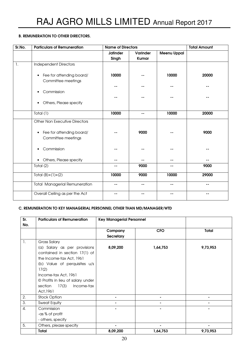# B. REMUNERATION TO OTHER DIRECTORS.

| Sr.No. | <b>Particulars of Remuneration</b>                          | <b>Name of Directors</b> |                   |                    | <b>Total Amount</b> |
|--------|-------------------------------------------------------------|--------------------------|-------------------|--------------------|---------------------|
|        |                                                             | <b>Jatinder</b><br>Singh | Varinder<br>Kumar | <b>Meenu Uppal</b> |                     |
| 1.     | <b>Independent Directors</b>                                |                          |                   |                    |                     |
|        | Fee for attending board/<br>$\bullet$<br>Committee meetings | 10000                    |                   | 10000              | 20000               |
|        | Commission                                                  |                          |                   |                    |                     |
|        | Others, Please specify<br>$\bullet$                         |                          |                   |                    |                     |
|        | Total (1)                                                   | 10000                    | --                | 10000              | 20000               |
|        | <b>Other Non Executive Directors</b>                        |                          |                   |                    |                     |
|        | • Fee for attending board/<br>Committee meetings            |                          | 9000              |                    | 9000                |
|        | Commission<br>$\bullet$                                     |                          |                   |                    |                     |
|        | Others, Please specify<br>$\bullet$                         |                          |                   |                    |                     |
|        | Total (2)                                                   | --                       | 9000              | --                 | 9000                |
|        | Total $(B)+(1)+(2)$                                         | 10000                    | 9000              | 10000              | 29000               |
|        | <b>Total Managerial Remuneration</b>                        | $- -$                    | --                | $- -$              | --                  |
|        | Overall Ceiling as per the Act                              |                          |                   | --                 | --                  |

# C. REMUNERATION TO KEY MANAGERIAL PERSONNEL OTHER THAN MD/MANAGER/WTD

| Sr.              | <b>Particulars of Remuneration</b> |                  | <b>Key Managerial Personnel</b> |                |  |  |
|------------------|------------------------------------|------------------|---------------------------------|----------------|--|--|
| No.              |                                    | Company          | <b>CFO</b>                      | <b>Total</b>   |  |  |
|                  |                                    | <b>Secretary</b> |                                 |                |  |  |
| $\mathbf{1}$ .   | Gross Salary                       |                  |                                 |                |  |  |
|                  | (a) Salary as per provisions       | 8,09,200         | 1,64,753                        | 9,73,953       |  |  |
|                  | contained in section 17(1) of      |                  |                                 |                |  |  |
|                  | the Income-tax Act, 1961           |                  |                                 |                |  |  |
|                  | (b) Value of perquisites u/s       |                  |                                 |                |  |  |
|                  | 17(2)                              |                  |                                 |                |  |  |
|                  | Income-tax Act, 1961               |                  |                                 |                |  |  |
|                  | © Profits in lieu of salary under  |                  |                                 |                |  |  |
|                  | section<br>17(3)<br>Income-tax     |                  |                                 |                |  |  |
|                  | Act, 1961                          |                  |                                 |                |  |  |
| 2.               | <b>Stock Option</b>                |                  |                                 |                |  |  |
| 3.               | <b>Sweat Equity</b>                |                  |                                 |                |  |  |
| $\overline{4}$ . | Commission                         |                  |                                 |                |  |  |
|                  | -as % of profit                    |                  |                                 |                |  |  |
|                  | - others, specify                  |                  |                                 |                |  |  |
| 5.               | Others, please specify             |                  | $\blacksquare$                  | $\blacksquare$ |  |  |
|                  | Total                              | 8,09,200         | 1,64,753                        | 9,73,953       |  |  |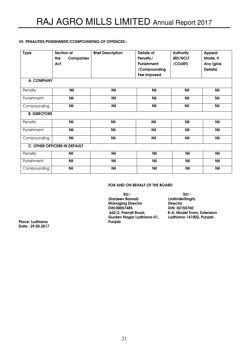# VII. PENALITIES/PUNISHMENT/COMPOUNDING OF OFFENCES:-

| <b>Type</b>         | Section of                          | <b>Brief Description</b> | <b>Details of</b> | <b>Authority</b> | Appeal     |
|---------------------|-------------------------------------|--------------------------|-------------------|------------------|------------|
|                     | the<br><b>Companies</b>             |                          | Penalty/          | (RD/NCLT         | Made, if   |
|                     | Act                                 |                          | Punishment        | /COURT)          | Any (give  |
|                     |                                     |                          | /Compounding      |                  | Details)   |
|                     |                                     |                          | Fee imposed       |                  |            |
|                     |                                     |                          |                   |                  |            |
| A. COMPANY          |                                     |                          |                   |                  |            |
| Penalty             | <b>Nil</b>                          | <b>Nil</b>               | <b>Nil</b>        | <b>Nil</b>       | <b>Nil</b> |
| Punishment          | <b>Nil</b>                          | <b>Nil</b>               | <b>Nil</b>        | <b>Nil</b>       | <b>Nil</b> |
| Compounding         | <b>Nil</b>                          | Nil                      | Nil               | Nil              | Nil        |
| <b>B. DIRECTORS</b> |                                     |                          |                   |                  |            |
| Penalty             | <b>Nil</b>                          | <b>Nil</b>               | <b>Nil</b>        | <b>Nil</b>       | <b>Nil</b> |
| Punishment          | <b>Nil</b>                          | <b>Nil</b>               | <b>Nil</b>        | <b>Nil</b>       | <b>Nil</b> |
| Compounding         | <b>Nil</b>                          | <b>Nil</b>               | <b>Nil</b>        | <b>Nil</b>       | <b>Nil</b> |
|                     | <b>C. OTHER OFFICERS IN DEFAULT</b> |                          |                   |                  |            |
| Penalty             | <b>Nil</b>                          | <b>Nil</b>               | <b>Nil</b>        | <b>Nil</b>       | <b>Nil</b> |
| Punishment          | <b>Nil</b>                          | <b>Nil</b>               | <b>Nil</b>        | <b>Nil</b>       | <b>Nil</b> |
| Compounding         | <b>Nil</b>                          | <b>Nil</b>               | <b>Nil</b>        | <b>Nil</b>       | <b>Nil</b> |

# FOR AND ON BEHALF OF THE BOARD

 $Sd/-$  solid  $Sd/-$  (Sanjeev Bansal) (JatinderSingh) Managing Director<br>DIN:00057485 DIN:00057485 DIN: 02150760 Gurdev Nagar Ludhiana-01,<br>Punjab

8-A, Model Town, Extension<br>Ludhiana-141002, Punjab

Place: Ludhiana Date : 29.05.2017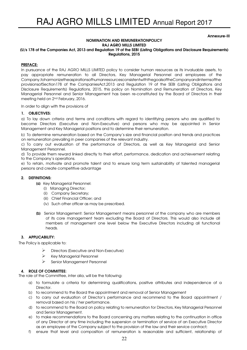#### Annexure-III

#### NOMINATION AND REMUNERATIONPOLICY RAJ AGRO MILLS LIMITED

#### (U/s 178 of the Companies Act, 2013 and Regulation 19 of the SEBI (Listing Obligations and Disclosure Requirements) Regulations, 2015

# PREFACE:

In pursuance of the RAJ AGRO MILLS LIMITED policy to consider human resources as its invaluable assets, to pay appropriate remuneration to all Directors, Key Managerial Personnel and employees of the Company,toharmonizetheaspirationsofhumanresourcesconsistentwiththegoalsoftheCompanyandintermsofthe provisionsofSection178 of the CompaniesAct,2013 and Regulation 19 of the SEBI (Listing Obligations and Disclosure Requirements) Regulations, 2015, this policy on Nomination and Remuneration of Directors, Key Managerial Personnel and Senior Management has been re-constituted by the Board of Directors in their meeting held on 2nd February, 2016.

In order to align with the provisions of

#### 1. OBJECTIVES:

a) To lay down criteria and terms and conditions with regard to identifying persons who are qualified to become Directors (Executive and Non-Executive) and persons who may be appointed in Senior Management and Key Managerial positions and to determine their remuneration.

b) To determine remuneration based on the Company's size and financial position and trends and practices on remuneration prevailing in peer companies of the relevant industry.

c) To carry out evaluation of the performance of Directors, as well as Key Managerial and Senior Management Personnel.

d) To provide them reward linked directly to their effort, performance, dedication and achievement relating to the Company's operations.

e) To retain, motivate and promote talent and to ensure long term sustainability of talented managerial persons and create competitive advantage

#### 2. DEFINITIONS:

(a) Key Managerial Personnel:

- (i) Managing Director;
- (ii) Company Secretary;
- (iii) Chief Financial Officer; and
- (iv) Such other officer as may be prescribed.
- (b) Senior Management: Senior Management means personnel of the company who are members of its core management team excluding the Board of Directors. This would also include all members of management one level below the Executive Directors including all functional heads.

#### 3. APPLICABILITY:

The Policy is applicable to:

- Directors (Executive and Non-Executive)
- $\triangleright$  Key Managerial Personnel
- Senior Management Personnel

# 4. ROLE OF COMMITTEE:

The role of the Committee, inter alia, will be the following:

- a) to formulate a criteria for determining qualifications, positive attributes and independence of a **Director**
- b) to recommend to the Board the appointment and removal of Senior Management
- c) to carry out evaluation of Director's performance and recommend to the Board appointment / removal based on his / her performance.
- d) to recommend to the Board on policy relating to remuneration for Directors, Key Managerial Personnel and Senior Management.
- e) to make recommendations to the Board concerning any matters relating to the continuation in office of any Director at any time including the suspension or termination of service of an Executive Director as an employee of the Company subject to the provision of the law and their service contract;
- f) ensure that level and composition of remuneration is reasonable and sufficient, relationship of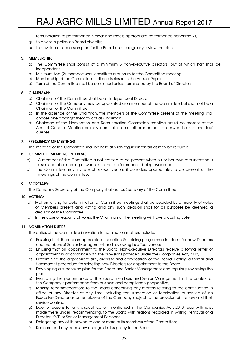remuneration to performance is clear and meets appropriate performance benchmarks,

- g) to devise a policy on Board diversity;
- h) to develop a succession plan for the Board and to regularly review the plan

# 5. MEMBERSHIP:

- a) The Committee shall consist of a minimum 3 non-executive directors, out of which half shall be independent.
- b) Minimum two (2) members shall constitute a quorum for the Committee meeting.
- c) Membership of the Committee shall be disclosed in the Annual Report.
- d) Term of the Committee shall be continued unless terminated by the Board of Directors.

# 6. CHAIRMAN:

- a) Chairman of the Committee shall be an Independent Director.
- b) Chairman of the Company may be appointed as a member of the Committee but shall not be a Chairman of the Committee.
- c) In the absence of the Chairman, the members of the Committee present at the meeting shall choose one amongst them to act as Chairman.
- d) Chairman of the Nomination and Remuneration Committee meeting could be present at the Annual General Meeting or may nominate some other member to answer the shareholders' queries.

# 7. FREQUENCY OF MEETINGS:

The meeting of the Committee shall be held at such regular intervals as may be required.

# 8. COMMITTEE MEMBERS' INTERESTS:

- a) A member of the Committee is not entitled to be present when his or her own remuneration is discussed at a meeting or when his or her performance is being evaluated.
- b) The Committee may invite such executives, as it considers appropriate, to be present at the meetings of the Committee.

# 9. SECRETARY:

The Company Secretary of the Company shall act as Secretary of the Committee.

#### 10. VOTING:

- a) Matters arising for determination at Committee meetings shall be decided by a majority of votes of Members present and voting and any such decision shall for all purposes be deemed a decision of the Committee.
- b) In the case of equality of votes, the Chairman of the meeting will have a casting vote

# 11. NOMINATION DUTIES:

The duties of the Committee in relation to nomination matters include:

- a) Ensuring that there is an appropriate induction & training programme in place for new Directors and members of Senior Management and reviewing its effectiveness;
- b) Ensuring that on appointment to the Board, Non-Executive Directors receive a formal letter of appointment in accordance with the provisions provided under the Companies Act, 2013;
- c) Determining the appropriate size, diversity and composition of the Board; Setting a formal and transparent procedure for selecting new Directors for appointment to the Board;
- d) Developing a succession plan for the Board and Senior Management and regularly reviewing the plan;
- e) Evaluating the performance of the Board members and Senior Management in the context of the Company's performance from business and compliance perspective;
- f) Making recommendations to the Board concerning any matters relating to the continuation in office of any Director at any time including the suspension or termination of service of an Executive Director as an employee of the Company subject to the provision of the law and their service contract.
- g) Due to reasons for any disqualification mentioned in the Companies Act, 2013 read with rules made there under, recommending, to the Board with reasons recorded in writing, removal of a Director, KMP or Senior Management Personnel.
- h) Delegating any of its powers to one or more of its members of the Committee;
- i) Recommend any necessary changes in this policy to the Board.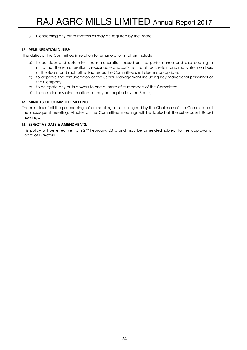j) Considering any other matters as may be required by the Board.

# 12. REMUNERATION DUTIES:

The duties of the Committee in relation to remuneration matters include:

- a) to consider and determine the remuneration based on the performance and also bearing in mind that the remuneration is reasonable and sufficient to attract, retain and motivate members of the Board and such other factors as the Committee shall deem appropriate.
- b) to approve the remuneration of the Senior Management including key managerial personnel of the Company.
- c) to delegate any of its powers to one or more of its members of the Committee.
- d) to consider any other matters as may be required by the Board;

# 13. MINUTES OF COMMITTEE MEETING:

The minutes of all the proceedings of all meetings must be signed by the Chairman of the Committee at the subsequent meeting. Minutes of the Committee meetings will be tabled at the subsequent Board meetings.

# 14. EEFECTIVE DATE & AMENDMENTS:

This policy will be effective from 2<sup>nd</sup> February, 2016 and may be amended subject to the approval of Board of Directors.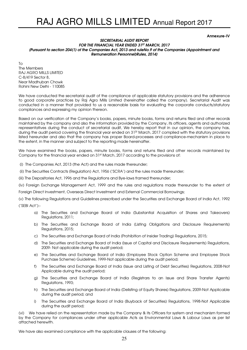Annexure-IV

#### SECRETARIAL AUDIT REPORT FOR THE FINANCIAL YEAR ENDED 31ST MARCH, 2017 [Pursuant to section 204(1) of the Companies Act, 2013 and ruleNo.9 of the Companies (Appointment and Remuneration Personnel)Rules, 2014]

 $T<sub>O</sub>$ The Members RAJ AGRO MILLS LIMITED C-8/419 Sector 8, Near Madhuban Chowk Rohini New Delhi - 110085

We have conducted the secretarial audit of the compliance of applicable statutory provisions and the adherence to good corporate practices by Raj Agro Mills Limited (hereinafter called the company). Secretarial Audit was conducted in a manner that provided to us a reasonable basis for evaluating the corporate conducts/statutory compliances and expressing my opinion thereon.

Based on our verification of the Company's books, papers, minute books, forms and returns filed and other records maintained by the company and also the information provided by the Company, its officers, agents and authorized representatives during the conduct of secretarial audit, We hereby report that in our opinion, the company has, during the audit period covering the financial year ended on 31<sup>st</sup> March, 2017 complied with the statutory provisions listed hereunder and also that the company has proper Board-processes and compliance-mechanism in place to the extent, in the manner and subject to the reporting made hereinafter.

We have examined the books, papers, minute books, forms and returns filed and other records maintained by Company for the financial year ended on 31st March, 2017 according to the provisions of:

- (i) The Companies Act, 2013 (the Act) and the rules made thereunder;
- (ii) The Securities Contracts (Regulation) Act, 1956 ('SCRA') and the rules made thereunder;
- (iii) The Depositories Act, 1996 and the Regulations and Bye-laws framed thereunder;

(iv) Foreign Exchange Management Act, 1999 and the rules and regulations made thereunder to the extent of

Foreign Direct Investment, Overseas Direct Investment and External Commercial Borrowings;

(v) The following Regulations and Guidelines prescribed under the Securities and Exchange Board of India Act, 1992 ('SEBI Act'):-

- a) The Securities and Exchange Board of India (Substantial Acquisition of Shares and Takeovers) Regulations, 2011;
- b) The Securities and Exchange Board of India (Listing Obligations and Disclosure Requirements) Regulations, 2015;
- c) The Securities and Exchange Board of India (Prohibition of Insider Trading) Regulations, 2015;
- d) The Securities and Exchange Board of India (Issue of Capital and Disclosure Requirements) Regulations, 2009- Not applicable during the audit period;
- e) The Securities and Exchange Board of India (Employee Stock Option Scheme and Employee Stock Purchase Scheme) Guidelines, 1999-Not applicable during the audit period;
- f) The Securities and Exchange Board of India (Issue and Listing of Debt Securities) Regulations, 2008-Not Applicable during the audit period;
- g) The Securities and Exchange Board of India (Registrars to an Issue and Share Transfer Agents) Regulations, 1993;
- h) The Securities and Exchange Board of India (Delisting of Equity Shares) Regulations, 2009-Not Applicable during the audit period; and
- i) The Securities and Exchange Board of India (Buyback of Securities) Regulations, 1998-Not Applicable during the audit period;

(vi) We have relied on the representation made by the Company & its Officers for system and mechanism formed by the Company for compliances under other applicable Acts as Environmental Laws & Labour Laws as per list attached herewith.

We have also examined compliance with the applicable clauses of the following: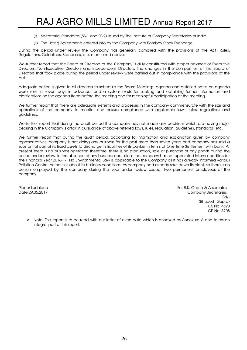- (i) Secretarial Standards (SS-1 and SS-2) issued by The Institute of Company Secretaries of India
- (ii) The Listing Agreements entered into by the Company with Bombay Stock Exchange;

During the period under review the Company has generally complied with the provisions of the Act, Rules, Regulations, Guidelines, Standards, etc. mentioned above.

We further report that the Board of Directors of the Company is duly constituted with proper balance of Executive Directors, Non-Executive Directors and Independent Directors. The changes in the composition of the Board of Directors that took place during the period under review were carried out in compliance with the provisions of the Act.

Adequate notice is given to all directors to schedule the Board Meetings, agenda and detailed notes on agenda were sent in seven days in advance, and a system exists for seeking and obtaining further information and clarifications on the agenda items before the meeting and for meaningful participation at the meeting.

We further report that there are adequate systems and processes in the company commensurate with the size and operations of the company to monitor and ensure compliance with applicable laws, rules, regulations and guidelines.

We further report that during the audit period the company has not made any decisions which are having major bearing in the Company's affair in pursuance of above referred laws, rules, regulation, guidelines, standards, etc.

We further report that during the audit period, according to information and explanation given by company representatives, company is not doing any business for the past more than seven years and company has sold a substantial part of its fixed assets to discharge its liabilities of its banker in terms of One Time Settlement with bank. At present there is no business operation therefore, there is no production, sale or purchase of any goods during the period under review. In the absence of any business operations the company has not appointed internal auditors for the Financial Year 2016-17. No Environmental Law is applicable to the Company as it has already informed various Pollution Control Authorities about its business conditions. As company had already shut down its plant, so there is no person employed by the company during the year under review except two permanent employees of the company.

Place: Ludhiana For B.K. Gupta & Associates Date:29.05.2017 Company Secretaries and Date:29.05.2017 Sd/- (Bhupesh Gupta) FCS No.:4590 CP No.:5708

 $\cdot \cdot$  Note: This report is to be read with our letter of even date which is annexed as Annexure A and forms an integral part of this report.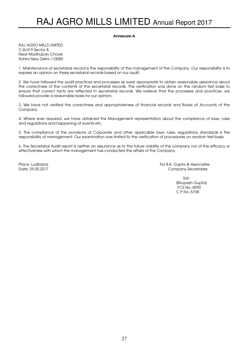#### Annexure-A

RAJ AGRO MILLS LIMITED C-8/419 Sector 8, Near Madhuban Chowk Rohini New Delhi–110085

1. Maintenance of secretarial record is the responsibility of the management of the Company. Our responsibility is to express an opinion on these secretarial records based on our audit.

2. We have followed the audit practices and processes as were appropriate to obtain reasonable assurance about the correctness of the contents of the secretarial records. The verification was done on the random test basis to ensure that correct facts are reflected in secretarial records. We believe that the processes and practices, we followed provide a reasonable basis for our opinion.

3. We have not verified the correctness and appropriateness of financial records and Books of Accounts of the Company.

4. Where ever required, we have obtained the Management representation about the compliance of laws, rules and regulations and happening of events etc.

5. The compliance of the provisions of Corporate and other applicable laws, rules, regulations, standards is the responsibility of management. Our examination was limited to the verification of procedures on random test basis.

6. The Secretarial Audit report is neither an assurance as to the future viability of the company nor of the efficacy or effectiveness with which the management has conducted the affairs of the Company.

Place: Ludhiana For B.K. Gupta & Associates Date: 29.05.2017 Company Secretaries

> Sd/- (Bhupesh Gupta) FCS No.:4590 C P No.:5708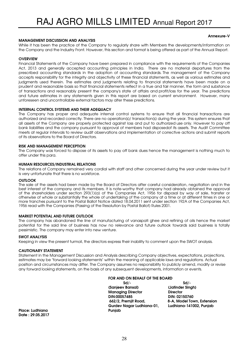#### Annexure-V

# MANAGEMENT DISCUSSION AND ANALYSIS

While it has been the practice of the Company to regularly share with Members the developments/information on the Company and the Industry Front. However, this section and format is being offered as part of the Annual Report.

# **OVERVIEW**

Financial Statements of the Company have been prepared in compliance with the requirements of the Companies Act, 2013 and generally accepted accounting principles in India. There are no material departures from the prescribed accounting standards in the adoption of accounting standards. The management of the Company accepts responsibility for the integrity and objectivity of these financial statements, as well as various estimates and judaments used therein. The estimates and judgments relating to financial statements have been made on a prudent and reasonable basis so that financial statements reflect in a true and fair manner, the form and substance of transactions and reasonably present the company's state of affairs and profit/loss for the year. The predictions and future estimates in any statements given in this report are based on current environment. However, many unforeseen and uncontrollable external factors may alter these predictions.

#### INTERNAL CONTROL SYSTEMS AND THEIR ADEQUACY

The Company has proper and adequate internal control systems to ensure that all financial transactions are authorized and recorded correctly. There are no operation(s)/ transaction(s) during the year. This system ensures that all assets of the Company are properly protected against loss and put to authorized use only. However to pay off bank liabilities and the company pursuant to approval of members had disposedof its assets. The Audit Committee meets at regular intervals to review audit observations and implementation of corrective actions and submit reports of its observations to the Board of Directors.

#### RISK AND MANAGEMENT PERCEPTION

The Company was forced to dispose of its assets to pay off bank dues hence the management is nothing much to offer under this para.

#### HUMAN RESOURCES/INDUSTRIAL RELATIONS

The relations of Company remained very cordial with staff and other concerned during the year under review but it is very unfortunate that there is no workforce.

#### **OUTLOOK**

The sale of the assets had been made by the Board of Directors after careful consideration, negotiation and in the best interest of the company and its members. It is note-worthy that company had already obtained the approval of the shareholders under section 293(1)(a) of the Companies Act, 1956 for disposal by way of sale, transfer or otherwise of whole or substantially the whole of undertaking of the company at a time or at different times in one or more tranches pursuant to the Postal Ballot Notice dated 18.04.2011 sent under section 192A of the Companies Act, 1956 read with the Companies (Passing of the Resolution by Postal Ballot) Rules 2001.

#### MARKET POTENTIAL AND FUTURE OUTLOOK

The company has abandoned the line of manufacturing of vanaspati ghee and refining of oils hence the market potential for the said line of business has now no relevance and future outlook towards said business is totally pessimistic. The company may enter into new venture.

#### SWOT ANALYSIS

Keeping in view the present turmoil, the directors express their inability to comment upon the SWOT analysis.

#### CAUTIONARY STATEMENT

Statement in the Management Discussion and Analysis describing Company objectives, expectations, projections, estimates may be "forward looking statements" within the meaning of applicable laws and regulations. Actual position and circumstances may differ. The Company assumes no responsibility to publicly amend, modify or revise any forward looking statements, on the basis of any subsequent developments, information or events.

FOR AND ON BEHALF OF THE BOARD

 $Sd/-$  solid  $Sd/-$  (Sanjeev Bansal) (Jatinder Singh) Managing Director Director DIN:00057485 DIN: 02150760 662/2, Premjit Road, 8-A, Model Town, Extension Gurdev Nagar Ludhiana-01, Ludhiana-141002, Punjab

Place: Ludhiana Punjab Date : 29.05.2017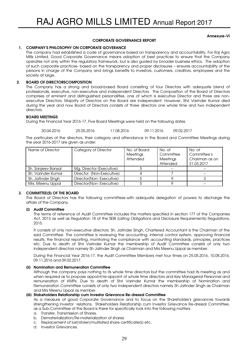#### Annexure-VI

# CORPORATE GOVERNANCE REPORT

# 1. COMPANY'S PHILOSOPHY ON CORPORATE GOVERANCE

The company had established a code of governance based on transparency and accountability. For Raj Agro Mills Limited, Good Corporate Governance means adoption of best practices to ensure that the Company operates not only within the regulatory framework, but is also guided by broader business ethics. The adoption of such corporate practices- based on the transparency and proper disclosures – ensures accountability of the persons in charge of the Company and brings benefits to investors, customers, creditors, employees and the society at large.

# 2. BOARD OF DIRECTORSCOMPOSITION

The Company has a strong and broad-based Board consisting of four Directors with adequate blend of professionals, executive, non-executive and independent Directors. The Composition of the Board of Directors comprises of eminent and distinguished personalities, one of which is executive Director and three are nonexecutive Directors. Majority of Directors on the Board are independent. However, Shri Varinder Kumar died during the year and now Board of Directors consists of three directors one whole time and two independent directors.

#### BOARD MEETINGS

During the Financial Year 2016-17, Five Board Meetings were held on the following dates.

| 30.04.2016 | 25.05.2016 | 11.08.2016 | 09.11.2016 | 09.02.2017 |
|------------|------------|------------|------------|------------|
|            |            |            |            |            |

The particulars of the directors, their category and attendance in the Board and Committee Meetings during the year 2016-2017 are given as under:

| Name of Director   | Category of Director     | No. of Board<br>Meetings<br>Attended | No. of<br>Committee<br>Meetings<br>Attended | No. of<br>Committee's<br>Chairman as on<br>31.03.2017 |
|--------------------|--------------------------|--------------------------------------|---------------------------------------------|-------------------------------------------------------|
| Sh. Sanjeev Bansal | Mg. Director (Executive) |                                      |                                             |                                                       |
| Sh. Varinder Kumar | Director (Non-Executive) |                                      |                                             |                                                       |
| Sh. Jatinder Singh | Director(Non-Executive)  |                                      |                                             |                                                       |
| Mrs. Meenu Uppal   | Director(Non-Executive)  |                                      |                                             |                                                       |

# 3. COMMITTEE(S) OF THE BOARD

The Board of Directors has the following committees with adequate delegation of powers to discharge the affairs of the Company.

#### (i) Audit Committee

The terms of reference of Audit Committee includes the matters specified in section 177 of the Companies Act, 2013 as well as Regulation 18 of the SEBI (Listing Obligations and Disclosure Requirements) Regulations, 2015.

It consists of only non-executive directors. Sh. Jatinder Singh, Chartered Accountant is the Chairman of the said Committee. The committee is reviewing the accounting, internal control system, approving financial results, the financial reporting, monitoring the compliance with accounting standards, principles, practices etc. Due to death of Shri Varinder Kumar the membership of Audit Committee consists of only two independent directors namely Sh Jatinder Singh as Chairman and Mrs Meenu Uppal as member.

During the Financial Year 2016-17, the Audit Committee Members met four times on 25.05.2016, 10.08.2016, 09.11.2016 and 09.02.2017.

#### (ii) Nomination and Remuneration Committee

Although the company pays nothing to its whole time directors but the committee had its meeting as and when required as to propose appoint/re-appoint of whole time directors and Key Managerial Personnel and remuneration of KMPs. Due to death of Shri Varinder Kumar the membership of Nomination and Remuneration Committee consists of only two independent directors namely Sh Jatinder Singh as Chairman and Mrs Meenu Uppal as member.

### (iii) Stakeholders Relationship cum Investor Grievance Re-dressal Committee

As a measure of good Corporate Governance and to focus on the Shareholder's grievances towards strengthening investor relations, Stakeholders Relationship cum Investor Grievance Re-dressal Committee, as a Sub-Committee of the Board is there for specifically look into the following matters.

- a. Transfer, Transmission of Shares.
- b. Dematerialization/Re-materialization of shares
- c. Replacement of lost/stolen/mutilated share certificate(s) etc.
- d. Investor Grievances.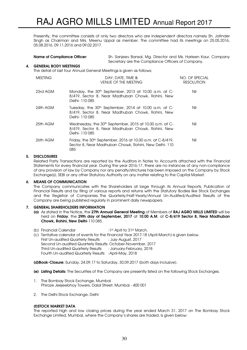Presently, the committee consists of only two directors who are independent directors namely Sh. Jatinder Singh as Chairman and Mrs. Meenu Uppal as member. The committee had its meetings on 25.05.2016, 05.08.2016, 09.11.2016 and 09.02.2017.

|    | <b>Name of Compliance Officer:</b> |                | Sh. Sanjeev Bansal, Mg. Director and Ms. Harleen Kaur, Company<br>Secretary are the Compliance Officers of Company.      |                                     |  |  |
|----|------------------------------------|----------------|--------------------------------------------------------------------------------------------------------------------------|-------------------------------------|--|--|
| 4. | <b>GENERAL BODY MEETINGS</b>       |                | The detail of last four Annual General Meetings is given as follows;                                                     |                                     |  |  |
|    | <b>MEETING</b>                     |                | DAY, DATE, TIME &<br><b>VENUE OF THE MEETING</b>                                                                         | NO. OF SPECIAL<br><b>RESOLUTION</b> |  |  |
|    | 23rd AGM                           | Delhi- 110 085 | Monday, the 30 <sup>th</sup> September, 2013 at 10.00 a.m. at C-<br>8/419, Sector 8, Near Madhuban Chowk, Rohini, New    | Nil                                 |  |  |
|    | 24th AGM                           | Delhi- 110 085 | Tuesday, the 30 <sup>th</sup> September, 2014 at 10.00 a.m. at C-<br>8/419, Sector 8, Near Madhuban Chowk, Rohini, New   | Nil                                 |  |  |
|    | 25th AGM                           | Delhi- 110 085 | Wednesday, the 30 <sup>th</sup> September, 2015 at 10.00 a.m. at C-<br>8/419, Sector 8, Near Madhuban Chowk, Rohini, New | Nil                                 |  |  |
|    | 26th AGM                           |                | Friday, the 30 <sup>th</sup> September, 2016 at 10.00 a.m. at C-8/419,                                                   | Nil                                 |  |  |

# 5. DISCLOSURES

Related Party Transactions are reported by the Auditors in Notes to Accounts attached with the Financial Statements for every financial year. During the year 2016-17, there are no instances of any non-compliance of any provision of law by Company nor any penalty/strictures has been imposed on the Company by Stock Exchange(s), SEBI or any other Statutory Authority on any matter relating to the Capital Market.

Sector 8, Near Madhuban Chowk, Rohini, New Delhi- 110

# 6. MEANS OF COMMUNICATION

The Company communicates with the Shareholders at large through its Annual Reports, Publication of Financial Results and by filing of various reports and returns with the Statutory Bodies like Stock Exchanges and the Registrar of Companies. The Quarterly/Half-Yearly/Annual Un-Audited/Audited Results of the Company are being published regularly in prominent daily newspapers.

#### 7. GENERAL SHAREHOLDERS INFORMATION

085

- (a) As stated in the Notice, the 27th Annual General Meeting of Members of RAJ AGRO MILLS LIMITED will be held on Friday, the 29th day of September, 2017 at 10.00 A.M. at C-8/419 Sector 8, Near Madhuban Chowk, Rohini, New Delhi-110 085.
- (b) Financial Calendar :1st April to 31st March.
- (c) Tentative calendar of events for the Financial Year 2017-18 (April-March) is given below. First Un-audited Quarterly Results : July-August, 2017 Second Un-audited Quarterly Results: October-November, 2017 Third Un-audited Quarterly Results : January-February, 2018 Fourth Un-audited Quarterly Results :April-May, 2018

(d)Book-Closure: Sunday, 24.09.17 to Saturday, 30.09.2017 (both days inclusive).

- (e) Listing Details: The Securities of the Company are presently listed on the following Stock Exchanges.
- 1. The Bombay Stock Exchange, Mumbai Phiroze Jeejeebhoy Towers, Dalal Street, Mumbai - 400 001
- 2. The Delhi Stock Exchange, Delhi

# (f)STOCK MARKET DATA

The reported high and low closing prices during the year ended March 31, 2017 on The Bombay Stock Exchange Limited, Mumbai, where the Company's shares are traded, is given below: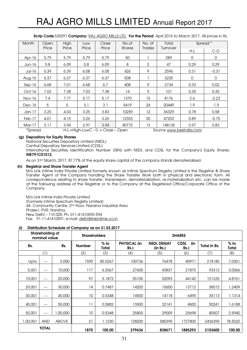| <b>Month</b> | Open  | High  | Low   | Close                              | No.of         | No. of                  | Total    | Spread <sup>*</sup> |         |
|--------------|-------|-------|-------|------------------------------------|---------------|-------------------------|----------|---------------------|---------|
|              | Price | Price | Price | Price                              | <b>Shares</b> | Trades                  | Turnover | H-L                 | $C-O$   |
| Apr-16       | 5.79  | 5.79  | 5.79  | 5.79                               | 50            |                         | 289      | 0                   | 0       |
| $Jun-16$     | 5.8   | 6.09  | 5.8   | 6.09                               | 8             | 2                       | 47       | 0.29                | 0.29    |
| Jul-16       | 6.39  | 6.39  | 6.08  | 6.08                               | 426           | 9                       | 2596     | 0.31                | $-0.31$ |
| Aug-16       | 6.37  | 6.37  | 6.37  | 6.37                               | 508           |                         | 3235     | 0                   | 0       |
| $Sep-16$     | 6.68  | 7.01  | 6.68  | 6.7                                | 408           | 9                       | 2734     | 0.33                | 0.02    |
| $Oct-16$     | 7.03  | 7.38  | 7.03  | 7.38                               | 14            | 5                       | 101      | 0.35                | 0.35    |
| Nov-16       | 7.4   | 7.77  | 5.17  | 5.17                               | 1370          | 15                      | 8176     | 2.6                 | $-2.23$ |
| Dec-16       | 5     | 5     | 3.1   | 3.1                                | 5419          | 24                      | 20449    | 1.9                 | $-1.9$  |
| $Jan-17$     | 3.25  | 4.03  | 3.25  | 3.83                               | 10259         | 12                      | 36329    | 0.78                | 0.58    |
| Feb-17       | 4.01  | 4.15  | 3.26  | 3.26                               | 12353         | 35                      | 47203    | 0.89                | $-0.75$ |
| Mar-17       | 3.11  | 3.94  | 2.97  | 3.94                               | 40772         | 13                      | 148135   | 0.97                | 0.83    |
| *Spread      |       |       |       | H-L->High-LowC - 0 -> Close - Open |               | Source www.bseindia.com |          |                     |         |

Scrip Code:530291 Company: RAJ AGRO MILLS LTD. For the Period: April 2016 to March 2017. All prices in Rs.

# (g) Depository for Equity Shares

National Securities Depository Limited (NSDL)

Central Depository Services Limited (CDSL)

International Securities Identification Number (ISIN) with NSDL and CDSL for the Company's Equity Shares: INE791C01012.

As on 31st March, 2017, 87.77% of the equity share capital of the company stands dematerialized.

#### (h) Registrar and Share Transfer Agent

M/s Link Intime India Private Limited formerly known as Intime Spectrum Registry Limited is the Registrar & Share Transfer Agent of the Company handling the Share Transfer Work both in physical and electronic form. All correspondence relating to share transfer, transmission, dematerialization, re-materialization etc. can be made at the following address of the Registrar or to the Company at the Registered Office/Corporate Office of the Company.

M/s Link Intime India Private Limited (Formerly Intime Spectrum Registry Limited) 44- Community Centre, 2<sup>nd</sup> Floor, Naraina Industrial Area Phase-I, PVR, Naraina, New Delhi – 110 028, Ph. 011-41410592-594 Fax: 91-11-41410591, e-mail: delhi@linkintime.co.in

#### (i) Distribution Schedule of Company as on 31.03.2017

| Shareholding of<br>nominal value |            |              |               | <b>Shareholders</b> |                                |                               | <b>SHARES</b>                 |                     |                 |  |
|----------------------------------|------------|--------------|---------------|---------------------|--------------------------------|-------------------------------|-------------------------------|---------------------|-----------------|--|
| Rs.                              |            | Rs.          | <b>Number</b> | $%$ to<br>Total     | <b>PHYSICAL (in</b><br>$Rs.$ ) | <b>NSDL DEMAT</b><br>(in Rs.) | <b>CDSL</b><br>(in<br>$Rs.$ ) | <b>Total In Rs.</b> | $%$ to<br>Total |  |
|                                  | (1)        |              | (2)           | (3)                 | (4)                            | (5)                           | (6)                           | (7)                 | (8)             |  |
| <b>Upto</b>                      | $---$      | 5,000        | 1590          | 85.0267             | 100736                         | 76478                         | 40971                         | 218185              | 7.0301          |  |
| 5,001                            | $---$      | 10,000       | 117           | 6.2567              | 27600                          | 43837                         | 21875                         | 93312               | 3.0066          |  |
| 10,001                           | $---$      | 20,000       | 97            | 5.1872              | 55100                          | 52093                         | 44142                         | 151335              | 4.8761          |  |
| 20,001                           | $---$      | 30,000       | 14            | 0.7487              | 14200                          | 10600                         | 13712                         | 38512               | 1.2409          |  |
| 30,001                           | ---        | 40,000       | 10            | 0.5348              | 14500                          | 14118                         | 6495                          | 35113               | 1.1314          |  |
| 40,001                           | $---$      | 50,000       | 11            | 0.5882              | 13500                          | 32141                         | 4600                          | 50241               | 1.6188          |  |
| 50,001                           | $---$      | 1,00,000     | 10            | 0.5348              | 25800                          | 29009                         | 25698                         | 80507               | 2.5940          |  |
| 1,00,001                         | <b>AND</b> | <b>ABOVE</b> | 21            | 1.1230              | 128200                         | 580395                        | 1727800                       | 2436395             | 78,5022         |  |
| <b>TOTAL</b>                     |            | 1870         | 100.00        | 379636              | 838671                         | 1885293                       | 3103600                       | 100.00              |                 |  |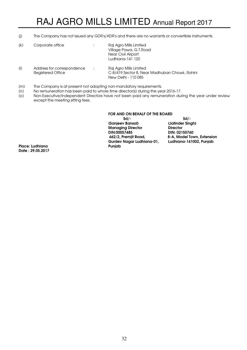(j) The Company has not issued any GDR's/ADR's and there are no warrants or convertible instruments.

| (k) | Corporate office                                | ÷ | Raj Agro Mills Limited<br>Village Pawa, G.T. Road<br>Near Civil Airport<br>Ludhiana-141 120    |
|-----|-------------------------------------------------|---|------------------------------------------------------------------------------------------------|
| (   | Address for correspondence<br>Registered Office | ÷ | Raj Agro Mills Limited<br>C-8/419 Sector 8, Near Madhuban Chowk, Rohini<br>New Delhi - 110 085 |

- (m) The Company is at present not adopting non-mandatory requirements.
- (n) No remuneration has been paid to whole time director(s) during the year 2016-17.
- (o) Non-Executive/Independent Directors have not been paid any remuneration during the year under review except the meeting sitting fees.

#### FOR AND ON BEHALF OF THE BOARD

 $Sd/-$  solid  $Sd/-$  (Sanjeev Bansal) (Jatinder Singh) Managing Director **Director**<br>DIN:00057485 **DIN:02150760** DIN:00057485 662/2, Premjit Road, 8-A, Model Town, Extension Gurdev Nagar Ludhiana-01, Ludhiana-141002, Punjab

Place: Ludhiana Date : 29.05.2017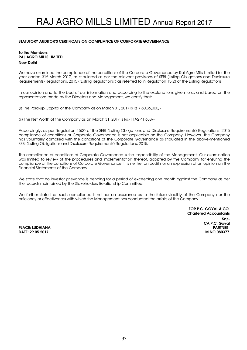# STATUTORY AUDITOR'S CERTIFICATE ON COMPLIANCE OF CORPORATE GOVERNANCE

# To the Members RAJ AGRO MILLS LIMITED New Delhi

We have examined the compliance of the conditions of the Corporate Governance by Raj Agro Mills Limited for the year ended 31st March 2017, as stipulated as per the relevant provisions of SEBI (Listing Obligations and Disclosure Requirements) Regulations, 2015 ('Listing Regulations') as referred to in Regulation 15(2) of the Listing Regulations;

In our opinion and to the best of our information and according to the explanations given to us and based on the representations made by the Directors and Management, we certify that:

(i) The Paid-up Capital of the Company as on March 31, 2017 is Rs.7,60,36,000/-

(ii) The Net Worth of the Company as on March 31, 2017 is Rs.-11,92,41,638/-

Accordingly, as per Regulation 15(2) of the SEBI (Listing Obligations and Disclosure Requirements) Regulations, 2015 compliance of conditions of Corporate Governance is not applicable on the Company. However, the Company has voluntarily complied with the conditions of the Corporate Governance as stipulated in the above-mentioned SEBI (Listing Obligations and Disclosure Requirements) Regulations, 2015.

The compliance of conditions of Corporate Governance is the responsibility of the Management. Our examination was limited to review of the procedures and implementation thereof, adopted by the Company for ensuring the compliance of the conditions of Corporate Governance. It is neither an audit nor an expression of an opinion on the Financial Statements of the Company.

We state that no investor grievance is pending for a period of exceeding one month against the Company as per the records maintained by the Stakeholders Relationship Committee.

We further state that such compliance is neither an assurance as to the future viability of the Company nor the efficiency or effectiveness with which the Management has conducted the affairs of the Company.

FOR P.C. GOYAL & CO. Chartered Accountants Sd/- CA P.C. Goyal DATE: 29.05.2017 M.NO.080377

**PLACE: LUDHIANA**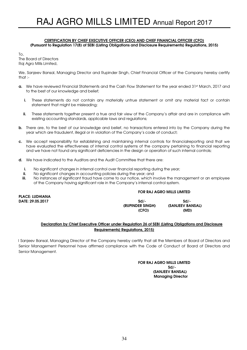#### CERTIFICATION BY CHIEF EXECUTIVE OFFICER (CEO) AND CHIEF FINANCIAL OFFICER (CFO) (Pursuant to Regulation 17(8) of SEBI (Listing Obligations and Disclosure Requirements) Regulations, 2015)

 $To<sub>1</sub>$ The Board of Directors Raj Agro Mills Limited,

We, Sanjeev Bansal, Managing Director and Rupinder Singh, Chief Financial Officer of the Company hereby certify that :-

- a. We have reviewed Financial Statements and the Cash Flow Statement for the year ended 31st March, 2017 and to the best of our knowledge and belief;
	- i. These statements do not contain any materially untrue statement or omit any material fact or contain statement that might be misleading;
	- ii. These statements together present a true and fair view of the Company's affair and are in compliance with existing accounting standards, applicable laws and regulations;
- b. There are, to the best of our knowledge and belief, no transactions entered into by the Company during the year which are fraudulent, illegal or in violation of the Company's code of conduct;
- c. We accept responsibility for establishing and maintaining internal controls for financialreporting and that we have evaluated the effectiveness of internal control systems of the company pertaining to financial reporting and we have not found any significant deficiencies in the design or operation of such internal controls;
- d. We have indicated to the Auditors and the Audit Committee that there are:
	- i. No significant changes in internal control over financial reporting during the year;
	- ii. No significant changes in accounting policies during the year; and
	- iii. No instances of significant fraud have come to our notice, which involve the management or an employee of the Company having significant role in the Company's internal control system.

#### FOR RAJ AGRO MILLS LIMITED

PLACE: LUDHIANA

DATE: 29.05.2017 Sd/- Sd/- (RUPINDER SINGH) (SANJEEV BANSAL) (CFO) (MD)

# Declaration by Chief Executive Officer under Regulation 26 of SEBI (Listing Obligations and Disclosure Requirements) Regulations, 2015)

 I Sanjeev Bansal, Managing Director of the Company hereby certify that all the Members of Board of Directors and Senior Management Personnel have affirmed compliance with the Code of Conduct of Board of Directors and Senior Management.

#### FOR RAJ AGRO MILLS LIMITED Sd/- (SANJEEV BANSAL) Managing Director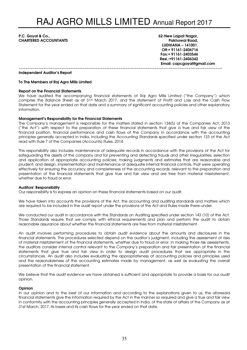P.C. Goyal & Co., **62-New Lajpat Nagar,** 62-New Lajpat Nagar, **CHARTERED ACCOUNTANTS Pakhowal Road, Pakhowal Road, Pakhowal Road, Pakhowal Road, Pakhowal Road, Pakhowal Road, Pakhowal Road, Pakhowal Road, Pakhowal Road, Pakhowal Road, Pakhowal Road, Pakhowal Road, Pakhowal Road, Pa** 

 LUDHIANA – 141001. Off:+ 91161-2406716 Fax:+ 91161-2403546 Resi.:+91161-2406342 Email: capcgoyal@gmail.com

~~~~~~~~~~~~~~~~~~~~~~~~~~~~~~~~~~~~~~~~~~~~~~~~~~~~~~~~~~~~~~~~~~~~~~~~~~~~~~~~~~~~~~~~~~

#### Independent Auditor's Report

#### To The Members of Raj Agro Mills Limited

#### Report on the Financial Statements

We have audited the accompanying financial statements of Raj Agro Mills Limited ("the Company") which comprise the Balance Sheet as at 31st March 2017, and the statement of Profit and Loss and the Cash Flow Statement for the year ended on that date and a summary of significant accounting policies and other explanatory information.

### Management's Responsibility for the Financial Statements

The Company's management is responsible for the matters stated in section 134(5) of the Companies Act, 2013 ("the Act") with respect to the preparation of these financial statements that give a true and fair view of the financial position, financial performance and cash flows of the Company in accordance with the accounting principles generally accepted in India, including the Accounting Standards specified under section 133 of the Act read with Rule 7 of the Companies (Accounts) Rules, 2014.

This responsibility also includes maintenance of adequate records in accordance with the provisions of the Act for safeguarding the assets of the company and for preventing and detecting frauds and other irregularities; selection and application of appropriate accounting policies; making judgments and estimates that are reasonable and prudent; and design, implementation and maintenance of adequate internal financial controls, that were operating effectively for ensuring the accuracy and completeness of the accounting records, relevant to the preparation and presentation of the financial statements that give true and fair view and are free from material misstatement, whether due to fraud or error.

#### Auditors' Responsibility

Our responsibility is to express an opinion on these financial statements based on our audit.

We have taken into accounts the provisions of the Act, the accounting and auditing standards and matters which are required to be included in the audit report under the provisions of the Act and Rules made there-under.

We conducted our audit in accordance with the Standards on Auditing specified under section 143 (10) of the Act. Those Standards require that we comply with ethical requirements and plan and perform the audit to obtain reasonable assurance about whether the financial statements are free from material misstatement.

An audit involves performing procedures to obtain audit evidence about the amounts and disclosures in the financial statements. The procedures selected depend on the auditor's judgment, including the assessment of risks of material misstatement of the financial statements, whether due to fraud or error. In making those risk assessments, the auditors consider internal control relevant to the Company's preparation and fair presentation of the financial statements that give true and fair view in order to design audit procedures that are appropriate in the circumstances. An audit also includes evaluating the appropriateness of accounting policies and principles used and the reasonableness of the accounting estimates made by management, as well as evaluating the overall presentation of the financial statement.

We believe that the audit evidence we have obtained is sufficient and appropriate to provide a basis for our audit opinion.

#### Opinion

In our opinion and to the best of our information and according to the explanations given to us, the aforesaid financial statements give the information required by the Act in the manner so required and give a true and fair view in conformity with the accounting principles generally accepted in India, of the state of affairs of the Company as at 31st March, 2017, its losses and its cash flows for the year ended on that date.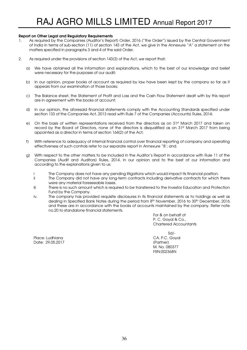# Report on Other Legal and Regulatory Requirements

- 1. As required by the Companies (Auditor's Report) Order, 2016 ("the Order") issued by the Central Government of India in terms of sub-section (11) of section 143 of the Act, we give in the Annexure "A" a statement on the matters specified in paragraphs 3 and 4 of the said Order.
- 2. As required under the provisions of section 143(3) of the Act, we report that;
	- a) We have obtained all the information and explanations, which to the best of our knowledge and belief were necessary for the purposes of our audit;
	- b) In our opinion, proper books of account as required by law have been kept by the company so far as it appears from our examination of those books;
	- c) The Balance sheet, the Statement of Profit and Loss and the Cash Flow Statement dealt with by this report are in agreement with the books of account;
	- d) In our opinion, the aforesaid financial statements comply with the Accounting Standards specified under section 133 of the Companies Act, 2013 read with Rule 7 of the Companies (Accounts) Rules, 2014;
	- e) On the basis of written representations received from the directors as on 31st March 2017 and taken on record by the Board of Directors, none of the directors is disqualified as on 31st March 2017 from being appointed as a director in terms of section 164(2) of the Act;
	- f) With reference to adequacy of internal financial control over financial reporting of company and operating effectiveness of such controls refer to our separate report in Annexure "B'; and.
	- g) With respect to the other matters to be included in the Auditor's Report in accordance with Rule 11 of the Companies (Audit and Auditors) Rules, 2014, in our opinion and to the best of our information and according to the explanations given to us:
		- i The Company does not have any pending litigations which would impact its financial position.
		- ii The Company did not have any long-term contracts including derivative contracts for which there were any material foreseeable losses.
		- iii There is no such amount which is required to be transferred to the Investor Education and Protection Fund by the Company.
		- iv. The company has provided requisite disclosures in its financial statements as to holdings as well as dealing in Specified Bank Notes during the period from 8th November, 2016 to 30th December, 2016 and these are in accordance with the books of accounts maintained by the company. Refer note no.20 to standalone financial statements.

For & on behalf of P. C. Goyal & Co., Chartered Accountants

Place: Ludhiana CA. P.C. Goyal Date: 29.05.2017 (Partner)

 $S$ d/- $S$ d/- $S$  M. No. 080377 FRN:002368N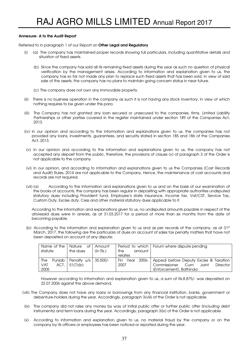# Annexure- A to the Audit Report

Referred to in paragraph 1 of our Report on Other Legal and Regulatory

- (i) (a) The company has maintained proper records showing full particulars, including quantitative details and situation of fixed assets.
	- (b) Since the company has sold all its remaining fixed assets during the year as such no question of physical verification by the management arises. According to information and explanation given to us, the company has so far not made any plan to replace such fixed assets that has been sold. In view of said sale of the assets, the company has no plans to maintain going concern status in near future.
	- (c) The company does not own any immovable property.
- (ii) There is no business operation in the company as such it is not having any stock inventory, in view of which nothing requires to be given under this para.
- (iii) The Company has not granted any loan secured or unsecured to the companies, firms, Limited Liability Partnerships or other parties covered in the register maintained under section 189 of the Companies Act, 2013.
- (iv) In our opinion and according to the information and explanations given to us, the companies has not provided any loans, investments, guarantees, and security stated in section 185 and 186 of the Companies Act, 2013.
- (v) In our opinion and according to the information and explanations given to us, the company has not accepted any deposit from the public, therefore, the provisions of clause (v) of paragraph 3 of the Order is not applicable to the company.
- (vi) In our opinion, and according to information and explanations given to us the Companies (Cost Records and Audit) Rules, 2014 are not applicable to the Company. Hence, the maintenance of cost accounts and records are not required.
- (vii) (a) According to the information and explanations given to us and on the basis of our examination of the books of accounts, the company has been regular in depositing with appropriate authorities undisputed statutory dues including Provident fund, Employee's state insurance, Income tax, Vat/CST, Service Tax, Custom Duty, Excise duty, Cess and other material statutory dues applicable to it.

According to the information and explanations given to us, no undisputed amounts payable in respect of the aforesaid dues were in arrears, as at 31.03.2017 for a period of more than six months from the date of becoming payable.

(b) According to the information and explanation given to us and as per records of the company, as at  $31st$ March, 2017, the following are the particulars of dues on account of sales tax penalty matters that have not been deposited on account of any dispute:

| Name of the<br>statute | Nature<br>Οf<br>the dues | <b>Amount</b><br>(in Rs.) | the<br>amount<br>relates | Period to which   Forum where dispute pending   |
|------------------------|--------------------------|---------------------------|--------------------------|-------------------------------------------------|
| The                    | Punjab   Penalty u/s     | $35,500/-$                | 2006-<br>Fin<br>Year     | Appeal before Deputy Excise & Taxation          |
| <b>VAT</b><br>ACT.     | 51(7)(b)                 |                           | 2007                     | Joint<br>Commissioner<br><b>Director</b><br>Cum |
| 2005                   |                          |                           |                          | (Enforcement), Bathinda                         |

 However according to information and explanation given to us, a sum of Rs.8,875/- was deposited on 22.07.2006 against the above demand.

- (viii) The Company does not have any loans or borrowings from any financial institution, banks, government or debenture-holders during the year. Accordingly, paragraph 3(viii) of the Order is not applicable.
- (ix) The company did not raise any money by way of initial public offer or further public offer (including debt instruments) and term loans during the year. Accordingly, paragraph 3(ix) of the Order is not applicable.
- (x) According to information and explanation given to us, no material fraud by the company or on the company by its officers or employees has been noticed or reported during the year.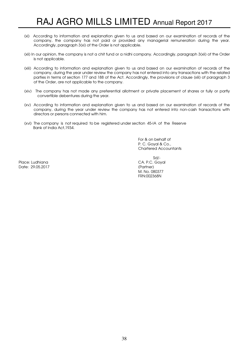- (xi) According to information and explanation given to us and based on our examination of records of the company, the company has not paid or provided any managerial remuneration during the year. Accordingly, paragraph 3(xi) of the Order is not applicable.
- (xii) In our opinion, the company is not a chit fund or a nidhi company. Accordingly, paragraph 3(xii) of the Order is not applicable.
- (xiii) According to information and explanation given to us and based on our examination of records of the company, during the year under review the company has not entered into any transactions with the related parties in terms of section 177 and 188 of the Act. Accordingly, the provisions of clause (xiii) of paragraph 3 of the Order, are not applicable to the company.
- (xiv) The company has not made any preferential allotment or private placement of shares or fully or partly convertible debentures during the year.
- (xv) According to information and explanation given to us and based on our examination of records of the company, during the year under review the company has not entered into non-cash transactions with directors or persons connected with him.
- (xvi) The company is not required to be registered under section 45-IA of the Reserve Bank of India Act,1934.

For & on behalf of P. C. Goyal & Co., Chartered Accountants

Place: Ludhiana CA. P.C. Goyal Date: 29.05.2017

 Sd/- M. No. 080377 FRN:002368N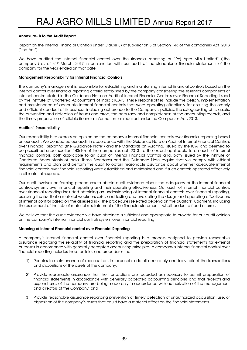# Annexure- B to the Audit Report

Report on the Internal Financial Controls under Clause (i) of sub-section 3 of Section 143 of the companies Act, 2013 ('the Act')

We have audited the internal financial control over the financial reporting of "Raj Agro Mills Limited" ('the company') as of 31st March, 2017 in conjunction with our audit of the standalone financial statements of the company for the year ended on that date:

### Management Responsibility for Internal Financial Controls

The company's management is responsible for establishing and maintaining internal financial controls based on the internal control over financial reporting criteria established by the company considering the essential components of internal control stated in the Guidance Note on Audit of Internal Financial Controls over Financial Reporting issued by the Institute of Chartered Accountants of India ('ICAI'). These responsibilities include the design, implementation and maintenance of adequate internal financial controls that were operating effectively for ensuring the orderly and efficient conduct of its business, including adherence to the Company's policies, the safeguarding of its assets, the prevention and detection of frauds and errors, the accuracy and completeness of the accounting records, and the timely preparation of reliable financial information, as required under the Companies Act, 2013.

#### Auditors' Responsibility

Our responsibility is to express an opinion on the company's internal financial controls over financial reporting based on our audit. We conducted our audit in accordance with the Guidance Note on Audit of Internal Financial Controls over Financial Reporting (the Guidance Note') and the Standards on Auditing, issued by the ICAI and deemed to be prescribed under section 143(10) of the companies act, 2013, to the extent applicable to an audit of internal financial controls, both applicable to an audit of Internal Financial Controls and, both issued by the Institute of Chartered Accountants of India. Those Standards and the Guidance Note require that we comply with ethical requirements and plan and perform the audit to obtain reasonable assurance about whether adequate internal financial controls over financial reporting were established and maintained and if such controls operated effectively in all material respects.

Our audit involves performing procedures to obtain audit evidence about the adequacy of the internal financial controls systems over financial reporting and their operating effectiveness. Out audit of internal financial controls over financial reporting included obtaining an understanding of internal financial controls over financial reporting, assessing the risk that a material weakness exists and testing and evaluating the design and operating effectiveness of internal control based on the assessed risk. The procedures selected depend on the auditors' judgment, including the assessment of the risks of material misstatement of the financial statements, whether due to fraud or error.

We believe that the audit evidence we have obtained is sufficient and appropriate to provide for our audit opinion on the company's internal financial controls system over financial reporting.

#### Meaning of Internal Financial control over Financial Reporting

A company's internal financial control over financial reporting is a process designed to provide reasonable assurance regarding the reliability of financial reporting and the preparation of financial statements for external purposes in accordance with generally accepted accounting principles. A company's internal financial control over financial reporting includes those policies and procedures that

- 1) Pertains to maintenance of records that, in reasonable detail accurately and fairly reflect the transactions and dispositions of the assets of the company;
- 2) Provide reasonable assurance that the transactions are recorded as necessary to permit preparation of financial statements in accordance with generally accepted accounting principles and that receipts and expenditures of the company are being made only in accordance with authorization of the management and directors of the Company; and
- 3) Provide reasonable assurance regarding prevention of timely detection of unauthorized acquisition, use, or disposition of the company's assets that could have a material effect on the financial statements.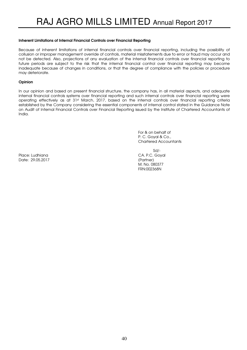### Inherent Limitations of Internal Financial Controls over Financial Reporting

Because of inherent limitations of internal financial controls over financial reporting, including the possibility of collusion or improper management override of controls, material misstatements due to error or fraud may occur and not be detected. Also, projections of any evaluation of the internal financial controls over financial reporting to future periods are subject to the risk that the internal financial control over financial reporting may become inadequate because of changes in conditions, or that the degree of compliance with the policies or procedure may deteriorate.

# **Opinion**

In our opinion and based on present financial structure, the company has, in all material aspects, and adequate internal financial controls systems over financial reporting and such internal controls over financial reporting were operating effectively as at 31st March, 2017, based on the internal controls over financial reporting criteria established by the Company considering the essential components of internal control stated in the Guidance Note on Audit of Internal Financial Controls over Financial Reporting issued by the Institute of Chartered Accountants of India.

> For & on behalf of P. C. Goyal & Co., Chartered Accountants

Place: Ludhiana CA. P.C. Goyal Date: 29.05.2017 (Partner)

 Sd/- M. No. 080377 FRN:002368N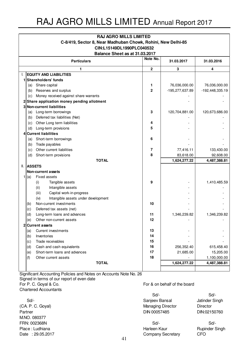| <b>RAJ AGRO MILLS LIMITED</b>                                |                                |                                             |                |                 |                 |  |  |  |
|--------------------------------------------------------------|--------------------------------|---------------------------------------------|----------------|-----------------|-----------------|--|--|--|
| C-8/419, Sector 8, Near Madhuban Chowk, Rohini, New Delhi-85 |                                |                                             |                |                 |                 |  |  |  |
|                                                              | CIN:L15149DL1990PLC040532      |                                             |                |                 |                 |  |  |  |
|                                                              | Balance Sheet as at 31.03.2017 |                                             |                |                 |                 |  |  |  |
|                                                              |                                | <b>Particulars</b>                          | Note No.       | 31.03.2017      | 31.03.2016      |  |  |  |
|                                                              |                                | 1                                           | $\overline{2}$ | 3               | 4               |  |  |  |
|                                                              |                                | <b>EQUITY AND LIABILITIES</b>               |                |                 |                 |  |  |  |
|                                                              |                                | Shareholders' funds                         |                |                 |                 |  |  |  |
|                                                              | (a)                            | Share capital                               | 1              | 76,036,000.00   | 76,036,000.00   |  |  |  |
|                                                              | (b)                            | Reserves and surplus                        | $\overline{2}$ | -195,277,637.89 | -192,448,335.19 |  |  |  |
|                                                              | (c)                            | Money received against share warrants       |                |                 |                 |  |  |  |
|                                                              |                                | Share application money pending allotment   |                |                 |                 |  |  |  |
|                                                              |                                | Non-current liabilities                     |                |                 |                 |  |  |  |
|                                                              | (a)                            | Long-term borrowings                        | 3              | 120,704,881.00  | 120,673,686.00  |  |  |  |
|                                                              | (b)                            | Deferred tax liabilities (Net)              |                |                 |                 |  |  |  |
|                                                              | (c)                            | Other Long term liabilities                 | 4              |                 |                 |  |  |  |
|                                                              | (d)                            | Long-term provisions                        | 5              |                 |                 |  |  |  |
| 4                                                            |                                | <b>Current liabilities</b>                  |                |                 |                 |  |  |  |
|                                                              | (a)                            | Short-term borrowings                       | 6              |                 |                 |  |  |  |
|                                                              | (b)                            | Trade payables                              |                |                 |                 |  |  |  |
|                                                              | (c)                            | Other current liabilities                   | 7              | 77,416.11       | 133,430.00      |  |  |  |
|                                                              | (d)                            | Short-term provisions                       | 8              | 83,618.00       | 92,608.00       |  |  |  |
|                                                              |                                | <b>TOTAL</b>                                |                | 1,624,277.22    | 4,487,388.81    |  |  |  |
| II.                                                          | <b>ASSETS</b>                  |                                             |                |                 |                 |  |  |  |
|                                                              |                                | Non-current assets                          |                |                 |                 |  |  |  |
|                                                              | (a)                            | Fixed assets                                |                |                 |                 |  |  |  |
|                                                              |                                | (i)<br>Tangible assets                      | 9              |                 | 1,410,485.59    |  |  |  |
|                                                              |                                | (ii)<br>Intangible assets                   |                |                 |                 |  |  |  |
|                                                              |                                | (iii)<br>Capital work-in-progress           |                |                 |                 |  |  |  |
|                                                              |                                | Intangible assets under development<br>(iv) |                |                 |                 |  |  |  |
|                                                              | (b)                            | Non-current investments                     | 10             |                 |                 |  |  |  |
|                                                              | (c)                            | Deferred tax assets (net)                   |                |                 |                 |  |  |  |
|                                                              | (d)                            | Long-term loans and advances                | 11             | 1,346,239.82    | 1,346,239.82    |  |  |  |
|                                                              | (e)                            | Other non-current assets                    | 12             |                 |                 |  |  |  |
| $\mathbf{2}$                                                 |                                | <b>Current assets</b>                       |                |                 |                 |  |  |  |
|                                                              | (a)                            | Current investments                         | 13             |                 |                 |  |  |  |
|                                                              | (b)                            | Inventories                                 | 14             |                 |                 |  |  |  |
|                                                              | (c)                            | Trade receivables                           | 15             |                 |                 |  |  |  |
|                                                              | (d)                            | Cash and cash equivalents                   | 16             | 256,352.40      | 615,458.40      |  |  |  |
|                                                              | (e)                            | Short-term loans and advances               | 17             | 21,685.00       | 15,205.00       |  |  |  |
|                                                              | (f)                            | Other current assets                        | 18             |                 | 1,100,000.00    |  |  |  |
|                                                              |                                | <b>TOTAL</b>                                |                | 1,624,277.22    | 4,487,388.81    |  |  |  |
|                                                              |                                |                                             |                |                 |                 |  |  |  |

Signed in terms of our report of even date For P. C. Goyal & Co. **For P. C. Goyal & Co.** For  $\alpha$  on behalf of the board Chartered Accountants Significant Accounting Policies and Notes on Accounts Note No. 26

(CA. P. C. Goyal) Managing Director Director Partner DIN 00057485 DIN:02150760 M.NO. 080377 FRN: 002368N Sd/- Sd/-

Sd/- Sd/- Sd/-<br>
Sanjeev Bansal<br>
Jatinder Singh

Place : Ludhiana Harleen Kaur Rupinder Singh Company Secretary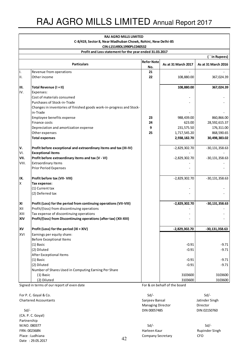|            | <b>RAJ AGRO MILLS LIMITED</b>                                        |                          |                     |                     |
|------------|----------------------------------------------------------------------|--------------------------|---------------------|---------------------|
|            | C-8/419, Sector 8, Near Madhuban Chowk, Rohini, New Delhi-85         |                          |                     |                     |
|            | CIN:L15149DL1990PLC040532                                            |                          |                     |                     |
|            | Profit and Loss statement for the year ended 31.03.2017              |                          |                     |                     |
|            |                                                                      |                          |                     | `in Rupees)         |
|            | <b>Particulars</b>                                                   | <b>Refer Note</b><br>No. | As at 31 March 2017 | As at 31 March 2016 |
| Ι.         | Revenue from operations                                              | 21                       |                     |                     |
| Ш.         | Other income                                                         | 22                       | 108,880.00          | 367,024.39          |
| III.       | Total Revenue (I + II)                                               |                          | 108,880.00          | 367,024.39          |
| IV.        | Expenses:                                                            |                          |                     |                     |
|            | Cost of materials consumed                                           |                          |                     |                     |
|            | Purchases of Stock-in-Trade                                          |                          |                     |                     |
|            | Changes in inventories of finished goods work-in-progress and Stock- |                          |                     |                     |
|            | in-Trade                                                             |                          |                     |                     |
|            | Employee benefits expense                                            | 23                       | 988,439.00          | 860,866.00          |
|            | Finance costs                                                        | 24                       | 623.00              | 28,592,615.37       |
|            |                                                                      | 9                        | 231,575.50          | 176,311.00          |
|            | Depreciation and amortization expense                                |                          |                     |                     |
|            | Other expenses                                                       | 25                       | 1,717,545.20        | 868,590.65          |
|            | <b>Total expenses</b>                                                |                          | 2,938,182.70        | 30,498,383.02       |
| l٧.        | Profit before exceptional and extraordinary items and tax (III-IV)   |                          | $-2,829,302.70$     | $-30, 131, 358.63$  |
| l۷ı.       | <b>Exceptional items</b>                                             |                          |                     |                     |
| VII.       | Profit before extraordinary items and tax (V - VI)                   |                          | $-2,829,302.70$     | $-30,131,358.63$    |
| VIII.      | <b>Extraordinary Items</b>                                           |                          |                     |                     |
|            | <b>Prior Period Expenses</b>                                         |                          |                     |                     |
| IX.        | Profit before tax (VII- VIII)                                        |                          | $-2,829,302.70$     | $-30, 131, 358.63$  |
| ΙX         | Tax expense:                                                         |                          |                     |                     |
|            | (1) Current tax                                                      |                          |                     |                     |
|            | (2) Deferred tax                                                     |                          |                     |                     |
| XI         | Profit (Loss) for the period from continuing operations (VII-VIII)   |                          | $-2,829,302.70$     | $-30,131,358.63$    |
| xii        | Profit/(loss) from discontinuing operations                          |                          |                     |                     |
| XIII       | Tax expense of discontinuing operations                              |                          |                     |                     |
| <b>XIV</b> | Profit/(loss) from Discontinuing operations (after tax) (XII-XIII)   |                          |                     |                     |
| xv         | Profit (Loss) for the period (XI + XIV)                              |                          | $-2,829,302.70$     | $-30,131,358.63$    |
| XVI        | Earnings per equity share:                                           |                          |                     |                     |
|            | <b>Before Exceptional Items</b>                                      |                          |                     |                     |
|            |                                                                      |                          | $-0.91$             |                     |
|            | (1) Basic<br>(2) Diluted                                             |                          |                     | $-9.71$<br>$-9.71$  |
|            |                                                                      |                          | $-0.91$             |                     |
|            | After Exceptional Items                                              |                          |                     |                     |
|            | (1) Basic                                                            |                          | $-0.91$             | $-9.71$             |
|            | (2) Diluted                                                          |                          | $-0.91$             | $-9.71$             |
|            | Number of Shares Used in Computing Earning Per Share                 |                          |                     |                     |
|            | (1) Basic                                                            |                          | 3103600             | 3103600             |
|            | (2) Diluted                                                          |                          | 3103600             | 3103600             |

Signed in terms of our report of even date For & on behalf of the board

For P. C. Goyal & Co. Sd/- Sd/- Chartered Accountants **Sanjeev Bansal** Sanjeev Bansal Jatinder Singh

(CA. P. C. Goyal) Partnership M.NO. 080377 Sd/- Sd/- Date : 29.05.2017

Managing Director **Director** Sd/- DIN 00057485 DIN:02150760

FRN: 002368N Rupinder Singh and Text of Text of Text of Text of Text of Text of Text of Text of Text of Text of Text of Text of Text of Text of Text of Text of Text of Text of Text of Text of Text of Text of Text of Text o Place : Ludhiana CFO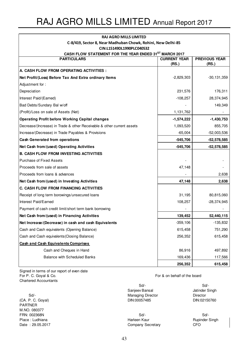| <b>RAJ AGRO MILLS LIMITED</b>                                          |                              |                               |
|------------------------------------------------------------------------|------------------------------|-------------------------------|
| C-8/419, Sector 8, Near Madhuban Chowk, Rohini, New Delhi-85           |                              |                               |
| CIN:L15149DL1990PLC040532                                              |                              |                               |
| CASH FLOW STATEMENT FOR THE YEAR ENDED 31ST MARCH 2017                 |                              |                               |
| <b>PARTICULARS</b>                                                     | <b>CURRENT YEAR</b><br>(RS.) | <b>PREVIOUS YEAR</b><br>(RS.) |
| A. CASH FLOW FROM OPERATING ACTIVITIES :                               |                              |                               |
| Net Profit/(Loss) Before Tax And Extra ordinary Items                  | $-2,829,303$                 | $-30, 131, 359$               |
| Adjustment for:                                                        |                              |                               |
| Depreciation                                                           | 231,576                      | 176,311                       |
| Interest Paid/(Earned)                                                 | $-108,257$                   | 28,374,945                    |
| Bad Debts/Sundary Bal w/off                                            |                              | 149,349                       |
| (Profit)/Loss on sale of Assets (Net)                                  | 1,131,762                    |                               |
| <b>Operating Profit before Working Capital changes</b>                 | $-1,574,222$                 | $-1,430,753$                  |
| Decrease/(Increase) in Trade & other Receivable & other current assets | 1,093,520                    | 855,705                       |
| Increase/(Decrease) in Trade Payables & Provisions                     | $-65,004$                    | $-52,003,536$                 |
| <b>Cash Generated from operations</b>                                  | $-545,706$                   | -52,578,585                   |
| Net Cash from/(used) Operating Activities                              | $-545,706$                   | -52,578,585                   |
| <b>B. CASH FLOW FROM INVESTING ACTIVITIES</b>                          |                              |                               |
| <b>Purchase of Fixed Assets</b>                                        |                              |                               |
| Proceeds from sale of assets                                           | 47,148                       |                               |
| Proceeds from loans & advances                                         |                              | 2,638                         |
| Net Cash from/(used) in Investing Activities                           | 47,148                       | 2,638                         |
| C. CASH FLOW FROM FINANCING ACTIVITIES                                 |                              |                               |
| Receipt of long term borowings/unsecured loans                         | 31,195                       | 80,815,060                    |
| Interest Paid/Earned                                                   | 108,257                      | $-28,374,945$                 |
| Payment of cash credit limit/short term bank borrowing                 |                              |                               |
| Net Cash from/(used) in Financing Activities                           | 139,452                      | 52,440,115                    |
| Net Increase/(Decrease) in cash and cash Equivalents                   | $-359,106$                   | $-135,832$                    |
| Cash and Cash equivalents (Opening Balance)                            | 615,458                      | 751,290                       |
| Cash and Cash equivalents (Closing Balance)                            | 256,352                      | 615,458                       |
| <b>Cash and Cash Equivalents Comprises</b>                             |                              |                               |
| Cash and Cheques in Hand                                               | 86,916                       | 497,892                       |
| <b>Balance with Scheduled Banks</b>                                    | 169,436                      | 117,566                       |
|                                                                        | 256,352                      | 615,458                       |

Signed in terms of our report of even date For P. C. Goyal & Co. Chartered Accountants

(CA. P. C. Goyal) DIN:00057485 DIN:02150760 PARTNER M.NO. 080377 FRN: 002368N Sd/- Sd/- Place : Ludhiana **Harleen Kaur** Harleen Kaur Rupinder Singh Date : 29.05.2017 Company Secretary CFO

For & on behalf of the board

Sd/- Sd/- Sanjeev Bansal **Jatinder Singh** Sd/-<br>
Managing Director<br>
Director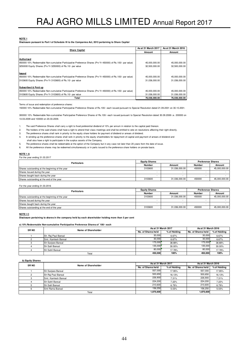**Disclosure pursuant to Part I of Schedule III to the Companies Act, 2013 pertaining to Share Capital**

| <b>Share Capital</b>                                                                                                                                                                                | As at 31 March 2017            | As at 31 March 2016            |
|-----------------------------------------------------------------------------------------------------------------------------------------------------------------------------------------------------|--------------------------------|--------------------------------|
|                                                                                                                                                                                                     | Amount                         | Amount                         |
| Authorised<br>450000 10% Redeemable Non-cumulative Participative Preference Shares (Prv Yr 450000) of Rs.100/- par value)<br>3250000 Equity Shares (Prv Yr 3250000) of Rs.10/- par value            | 45,000,000.00<br>32,500,000.00 | 45,000,000.00<br>32,500,000.00 |
| Issued<br>450000 10% Redeemable Non-cumulative Participative Preference Shares (Prv Yr 450000) of Rs.100/- par value)<br>3103600 Equity Shares (Prv Yr 3103600) of Rs.10/- par value                | 45,000,000.00<br>31.036.000.00 | 45,000,000.00<br>31.036.000.00 |
| Subscribed & Paid up<br>450000 10% Redeemable Non-cumulative Participative Preference Shares (Prv Yr 450000) of Rs.100/- par value)<br>3103600 Equity Shares (Prv Yr 3103600) of Rs. 10/- par value | 45,000,000.00<br>31,036,000.00 | 45,000,000.00<br>31,036,000.00 |
| Total                                                                                                                                                                                               | 76.036.000.00                  | 76.036.000.00                  |

Terms of issue and redemption of preference shares:

150000 10% Redeemable Non-cumulative Participative Preference Shares of Rs.100/- each issued pursuant to Special Resolution dated 21.09.2001 on 30.10.2001.

300000 10% Redeemable Non-cumulative Participative Preference Shares of Rs.100/- each issued pursuant to Special Resolution dated 30.09.2008 i.e. 200000 on 13.03.2009 and 100000 on 20.03.2009.

1. The said Preference Shares shall carry a right to fixed preferential dividend of 10% per annum in relation to the capital paid thereon.

2. The holders of the said shares shall have a right to attend their class meetings and shall be entitled to vote on resolutions affecting their right directly.

3. The preference shares shall rank in priority to the equity share holders for payment of dividend or arrears of dividend.

4. In winding up the preference shares shall rank in priority to the equity shareholders for repayment of capital and payment of arrears of dividend and shall also have a right to participate in the surplus assets of the Company.

5. The preference shares shall be redeemable at the option of the Company but in any case not later than 20 years from the date of issue.

6. All the preference shares may be redeemed simultaneously or in parts issued to the preference share holders on prorate basis.

#### **NOTE 1 A**

For the year ending 31.03.2017

| <b>Particulars</b>                              | <b>Equity Shares</b> |               | <b>Preference Shares</b> |               |
|-------------------------------------------------|----------------------|---------------|--------------------------|---------------|
|                                                 | <b>Number</b>        | Amount        | Number                   | Amount        |
| Shares outstanding at the beginning of the year | 3103600              | 31.036.000.00 | 450000                   | 45,000,000.00 |
| Shares Issued during the year                   |                      |               |                          |               |
| Shares bought back during the year              |                      |               |                          |               |
| Shares outstanding at the end of the year       | 3103600              | 31.036.000.00 | 450000                   | 45,000,000.00 |

For the year ending 31.03.2016

| <b>Particulars</b>                              | <b>Equity Shares</b> |               | <b>Preference Shares</b> |               |
|-------------------------------------------------|----------------------|---------------|--------------------------|---------------|
|                                                 | Number               | Amount        | Number                   | Amount        |
| Shares outstanding at the beginning of the year | 3103600              | 31.036.000.00 | 450000                   | 45,000,000.00 |
| Shares Issued during the year                   |                      |               |                          |               |
| Shares bought back during the year              |                      |               |                          |               |
| Shares outstanding at the end of the year       | 3103600              | 31.036.000.00 | 450000                   | 45,000,000.00 |

**NOTE I C**

**Disclosure pertaining to shares in the company held by each shareholder holding more than 5 per cent** 

#### **a) 10% Redeemable Non-cumulative Participative Preference Shares of `100/- each**

| <b>SRNO</b> | Name of Shareholder        | As at 31 March 2017 |              | As at 31 March 2016 |              |
|-------------|----------------------------|---------------------|--------------|---------------------|--------------|
|             |                            | No. of Shares held  | % of Holding | No. of Shares held  | % of Holding |
|             | Sh. Raj Paul Bansal        | 30,000              | 6.67%        | 30,000              | 6.67%        |
|             | <b>Smt. Kamlesh Bansal</b> | 30,000              | 6.67%        | 30,000              | 6.67%        |
|             | Sh Sanieev Bansal          | 175,000             | 38.88%       | 175,000             | 38.88%       |
|             | Sh Salil Bansal            | 135,000             | 30.00%       | 135,000             | 30.00%       |
|             | Sh Sahil Bansal            | 80.000              | 17.78%       | 80,000              | 17.78%       |
|             | Total                      | 450.000             | 100%         | 450.000             | 100%         |

**b) Equity Shares**

| <b>SRNO</b><br>Name of Shareholder |                        | As at 31 March 2017 |                    | As at 31 March 2016 |        |
|------------------------------------|------------------------|---------------------|--------------------|---------------------|--------|
|                                    | No. of Shares held     | % of Holding        | No. of Shares held | % of Holding        |        |
|                                    | Sh Sanjeev Bansal      | 557,000             | 17.95%             | 557,000             | 17.95% |
|                                    | Sh Raj Paul Bansal     | 500,650             | 16.13%             | 500,650             | 16.13% |
|                                    | Smt. Kamlesh Bansal    | 226,900             | 7.31%              | 226,900             | 7.31%  |
|                                    | Sh Sahil Bansal        | 224.200             | 7.22%              | 224,200             | 7.22%  |
|                                    | Sh Salil Bansal        | 210.600             | 6.79%              | 210,600             | 6.79%  |
|                                    | <b>Smt Rama Bansal</b> | 156,250             | 5.03%              | 156.250             | 5.03%  |
|                                    | Total                  | 1,875,600           |                    | 1,875,600           |        |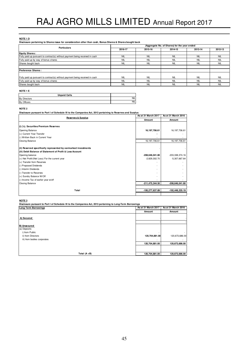#### **NOTE 1 D**

**Disclosure pertaining to Shares issue for consideration other than cash, Bonus Shares & Shares bought back**

| <b>Particulars</b>                                                           | (Aggregate No. of Shares) for the year ended |            |            |            |            |
|------------------------------------------------------------------------------|----------------------------------------------|------------|------------|------------|------------|
|                                                                              | 2016-17                                      | 2015-16    | 2014-15    | 2013-14    | 2012-13    |
| <b>Equity Shares:</b>                                                        |                                              |            |            |            |            |
| Fully paid up pursuant to contract(s) without payment being received in cash | <b>NIL</b>                                   | <b>NIL</b> | <b>NIL</b> | <b>NIL</b> | <b>NIL</b> |
| Fully paid up by way of bonus shares                                         | <b>NIL</b>                                   | <b>NIL</b> | <b>NIL</b> | <b>NIL</b> | <b>NIL</b> |
| Shares bought back                                                           | <b>NIL</b>                                   | <b>NIL</b> | <b>NIL</b> | <b>NIL</b> | <b>NIL</b> |
|                                                                              |                                              |            |            |            |            |
| <b>Preference Shares:</b>                                                    |                                              |            |            |            |            |
|                                                                              |                                              |            |            |            |            |
| Fully paid up pursuant to contract(s) without payment being received in cash | <b>NIL</b>                                   | <b>NIL</b> | <b>NIL</b> | <b>NIL</b> | <b>NIL</b> |
| Fully paid up by way of bonus shares                                         | <b>NIL</b>                                   | <b>NIL</b> | <b>NIL</b> | <b>NIL</b> | <b>NIL</b> |
| Shares bought back                                                           | <b>NIL</b>                                   | <b>NIL</b> | <b>NIL</b> | <b>NIL</b> | <b>NIL</b> |

#### **NOTE 1 E**

| <b>Unpaid Calls</b>           |            |
|-------------------------------|------------|
| <b>Directors</b><br><b>By</b> | <b>NIL</b> |
| By Officers                   | <b>NIL</b> |

#### **NOTE 2**

**Disclosure pursuant to Part I of Schedule III to the Companies Act, 2013 pertaining to Reserves and Surplus**

| <b>Reserves &amp; Surplus</b>                                   | As at 31 March 2017 | As at 31 March 2016 |  |
|-----------------------------------------------------------------|---------------------|---------------------|--|
|                                                                 | Amount              | Amount              |  |
| (i) ('c). Securities Premium Reserves                           |                     |                     |  |
| Opening Balance                                                 | 16, 197, 706.61     | 16, 197, 706.61     |  |
| (+) Current Year Transfer                                       |                     |                     |  |
| (-) Written Back in Current Year                                |                     |                     |  |
| <b>Closing Balance</b>                                          | 16, 197, 706.61     | 16, 197, 706.61     |  |
| (ii) Reserved specifically represented by earmarked investments |                     |                     |  |
| (iii) Debit Balance of Statement of Profit & Loss Account       |                     |                     |  |
| Opening balance                                                 | -208,646,041.80     | $-203,338,374.16$   |  |
| $(+)$ Net Profit/(Net Loss) For the current year                | $-2,829,302.70$     | $-5,307,667.64$     |  |
| (+) Transfer from Reserves                                      |                     |                     |  |
| (-) Proposed Dividends                                          |                     |                     |  |
| (-) Interim Dividends                                           |                     |                     |  |
| (-) Transfer to Reserves                                        |                     |                     |  |
| (+) Sundry Balance W/Off                                        |                     |                     |  |
| (-) Income Tax of earlier year w/off                            |                     |                     |  |
| <b>Closing Balance</b>                                          | -211,475,344.50     | -208,646,041.80     |  |
| Total                                                           | -195,277,637.89     | -192,448,335.19     |  |
|                                                                 |                     |                     |  |

#### **NOTE 3**

**Disclosure pursuant to Part I of Schedule III to the Companies Act, 2013 pertaining to Long-Term Borrowings**

| <b>Long Term Borrowings</b> | As at 31 March 2017      | As at 31 March 2016 |
|-----------------------------|--------------------------|---------------------|
|                             | Amount                   | Amount              |
|                             |                          |                     |
| A) Secured                  |                          |                     |
|                             |                          |                     |
| <b>B)</b> Unsecured         |                          |                     |
| (a) Deposits                |                          |                     |
| i) from Public              | $\overline{\phantom{a}}$ | $\sim$              |
| ii) from Directors          | 120,704,881.00           | 120,673,686.00      |
| iii) from bodies corporates | ۰                        |                     |
|                             | 120,704,881.00           | 120,673,686.00      |
|                             |                          |                     |
|                             |                          |                     |
| Total $(A + B)$             | 120,704,881.00           | 120,673,686.00      |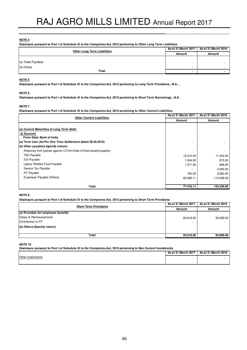**Disclosure pursuant to Part I of Schedule III to the Companies Act, 2013 pertaining to Other Long Term Liabilities**

| <b>Other Long Term Liabilities</b> | As at 31 March 2017      | As at 31 March 2016 |
|------------------------------------|--------------------------|---------------------|
|                                    | Amount                   | Amount              |
|                                    |                          |                     |
| (a) Trade Payables                 | $\,$                     |                     |
| (b) Others                         | $\overline{\phantom{a}}$ |                     |
| Total                              |                          |                     |

#### **NOTE 5**

**Disclosure pursuant to Part I of Schedule III to the Companies Act, 2013 pertaining to Long Term Provisions…N.A…**

#### **NOTE 6**

**Disclosure pursuant to Part I of Schedule III to the Companies Act, 2013 pertaining to Short Term Borrowings…N.A.**

#### **NOTE 7**

**Disclosure pursuant to Part I of Schedule III to the Companies Act, 2013 pertaining to Other Current Liabilities**

| <b>Other Current Liabilities</b>                                   | As at 31 March 2017 | As at 31 March 2016 |
|--------------------------------------------------------------------|---------------------|---------------------|
|                                                                    | Amount              | Amount              |
|                                                                    |                     |                     |
| (a) Current Maturities of Long Term Debt:                          |                     |                     |
| A) Secured                                                         |                     |                     |
| From State Bank of India                                           |                     |                     |
| (a) Term Ioan (As Per One Time Settlement dated 26.09.2012)        |                     |                     |
| (b) Other payables (specify nature)                                |                     |                     |
| Advances from parties against C-Form/Sale of fixed assets/supplies | ٠                   |                     |
| <b>TDS Payable</b>                                                 | 13,512.00           | 11,443.00           |
| <b>ESI Payable</b>                                                 | 1,244.00            | 813.00              |
| Labour Welfare Fund Payable                                        | 1,371.00            | 896.00              |
| Service Tax Payable                                                |                     | 4,350.00            |
| PF Payable                                                         | 700.00              | 2,660.00            |
| Expenses Payable (Others)                                          | 60,589.11           | 113,268.00          |
|                                                                    |                     |                     |
| Total                                                              | 77,416.11           | 133,430.00          |

#### **NOTE 8**

**Disclosure pursuant to Part I of Schedule III to the Companies Act, 2013 pertaining to Short Term Provisions**

| <b>Short Term Provisions</b>        | As at 31 March 2017 | As at 31 March 2016 |
|-------------------------------------|---------------------|---------------------|
|                                     | Amount              | Amount              |
| (a) Provision for employee benefits |                     |                     |
| Salary & Reimbursements             | 83,618.00           | 92,608.00           |
| Contribution to PF                  |                     |                     |
| (b) Others (Specify nature)         |                     |                     |
|                                     |                     |                     |
| Total                               | 83,618.00           | 92,608.00           |

#### **NOTE 10**

**Disclosure pursuant to Part I of Schedule III to the Companies Act, 2013 pertaining to Non Current Investments**

|                   | As at 31 March 2017 | As at 31 March 2016 |
|-------------------|---------------------|---------------------|
| Other Investments |                     |                     |
|                   |                     |                     |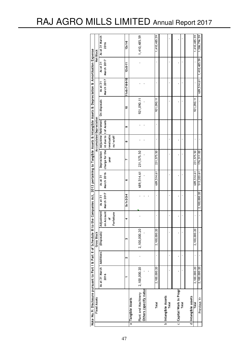| $\overline{a}$ | Others (specify natur<br>Plant and Machinery<br><b>Fixed Assets</b><br>Tangible Assets | As at 31 March   Additions<br>2,100,000.20<br>2016 | 2 | (Disposals)<br><b>Gross Block</b> | on Account<br>Adjustment | As at 31            | As at 31   |                                      | Accumulated Depreciation            |   |              |                           |               | Net Block      |
|----------------|----------------------------------------------------------------------------------------|----------------------------------------------------|---|-----------------------------------|--------------------------|---------------------|------------|--------------------------------------|-------------------------------------|---|--------------|---------------------------|---------------|----------------|
|                |                                                                                        |                                                    |   |                                   |                          |                     |            |                                      |                                     |   |              |                           |               |                |
|                |                                                                                        |                                                    |   |                                   |                          |                     |            |                                      | Depreciation   Adjustme   Retiremen |   | On disposals | As at 31                  | As at 31      | As at 31 March |
|                |                                                                                        |                                                    |   |                                   |                          | March 2017          | March 2016 | charge for the nt due to t of Assets |                                     |   |              | March 2017                | March 2017    | 2016           |
|                |                                                                                        |                                                    |   |                                   | ፟፟፟፟                     |                     |            | year                                 | revaluatio                          |   |              |                           |               |                |
|                |                                                                                        |                                                    |   |                                   | Forfeiture               |                     |            |                                      | ns/w/off                            |   |              |                           |               |                |
|                |                                                                                        |                                                    |   |                                   |                          |                     |            |                                      |                                     |   |              |                           |               |                |
|                |                                                                                        |                                                    |   | ო                                 | 4                        | $5 = 1 + 2 - 3 - 4$ | ဖ          | r                                    | œ                                   | თ | ş            | $11 = 6 + 7 - 8 - 9 - 10$ | $12 = 5 - 11$ | $13 = 1 - 6$   |
|                |                                                                                        |                                                    |   |                                   |                          |                     |            |                                      |                                     |   |              |                           |               |                |
|                |                                                                                        |                                                    |   | 2,100,000.20                      |                          |                     | 689,514.61 | 231, 575.50                          |                                     |   | 921,090.11   |                           |               | 1,410,485.59   |
|                |                                                                                        |                                                    |   |                                   |                          |                     |            |                                      |                                     |   |              |                           |               |                |
|                |                                                                                        |                                                    |   |                                   |                          |                     |            |                                      |                                     |   |              |                           |               |                |
|                | Total                                                                                  | 2,100,000.20                                       |   | 2,100,000.20                      |                          |                     | 689,514.61 | 231, 575.50                          |                                     |   | 921,090.11   |                           |               | 1,410,485.59   |
|                | b Intangible Assets                                                                    |                                                    |   |                                   |                          |                     |            |                                      |                                     |   |              |                           |               |                |
|                | Total                                                                                  |                                                    |   |                                   |                          |                     |            |                                      |                                     |   |              |                           |               |                |
|                | c Capital Work In Progr                                                                |                                                    |   |                                   |                          |                     |            |                                      |                                     |   |              |                           |               |                |
|                | Total                                                                                  |                                                    |   |                                   |                          |                     |            |                                      |                                     |   |              |                           |               |                |
|                | d Intangible assets                                                                    |                                                    |   |                                   |                          |                     |            |                                      |                                     |   |              |                           |               |                |
|                | Total                                                                                  | 2,100,000.20                                       |   | 2,100,000.20                      |                          |                     | 689,514.61 | 231,575.50                           |                                     |   | 921,090.1    |                           |               | 1,410,485.59   |
|                | Previous Yr                                                                            | 2,100,000.20                                       |   |                                   |                          | 2,100,000.20        | 513,203.61 | 176,311.00                           |                                     |   |              | 689,514.61                | 1,410,485.59  | 1,586,796.59   |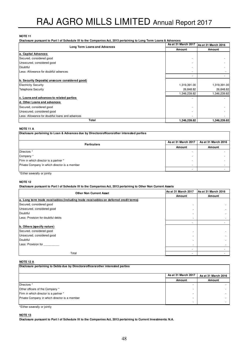**Disclosure pursuant to Part I of Schedule III to the Companies Act, 2013 pertaining to Long Term Loans & Advances**

| Long Term Loans and Advances                    | As at 31 March 2017 | As at 31 March 2016 |
|-------------------------------------------------|---------------------|---------------------|
|                                                 | Amount              | Amount              |
| a. Capital Advances                             |                     |                     |
| Secured, considered good                        |                     |                     |
| Unsecured, considered good                      |                     |                     |
| Doubtful                                        |                     |                     |
| Less: Allowance for doubtful advances           |                     |                     |
|                                                 |                     |                     |
| b. Security Deposits (unsecure considered good) |                     |                     |
| <b>Electricity Security</b>                     | 1,319,391.00        | 1,319,391.00        |
| <b>Telephone Security</b>                       | 26,848.82           | 26,848.82           |
|                                                 | 1,346,239.82        | 1,346,239.82        |
| c. Loans and advances to related parties        |                     |                     |
| d. Other Loans and advances                     |                     |                     |
| Secured, considered good                        |                     |                     |
| Unsecured, considered good                      |                     |                     |
| Less: Allowance for doubtful loans and advances |                     |                     |
| Total                                           | 1,346,239.82        | 1,346,239.82        |

#### **NOTE 11 A**

| Disclosure pertaining to Loan & Advances due by Directors/officers/other interested parties |                     |                     |
|---------------------------------------------------------------------------------------------|---------------------|---------------------|
| <b>Particulars</b>                                                                          | As at 31 March 2017 | As at 31 March 2016 |
|                                                                                             | Amount              | Amount              |
| Directors *                                                                                 |                     |                     |
| Company *                                                                                   |                     |                     |
| Firm in which director is a partner *                                                       |                     |                     |
| Private Company in which director is a member                                               | ۰                   |                     |
|                                                                                             |                     |                     |

\*Either severally or jointly

#### **NOTE 12**

**Disclosure pursuant to Part I of Schedule III to the Companies Act, 2013 pertaining to Other Non Current Assets**

| <b>Other Non Current Asset</b>                                                        | As at 31 March 2017 | As at 31 March 2016 |
|---------------------------------------------------------------------------------------|---------------------|---------------------|
|                                                                                       | Amount              | Amount              |
| a. Long term trade receivables (including trade receivables on deferred credit terms) |                     |                     |
| Secured, considered good                                                              |                     |                     |
| Unsecured, considered good                                                            | -                   |                     |
| Doubtful                                                                              |                     |                     |
| Less: Provision for doubtful debts                                                    |                     |                     |
|                                                                                       |                     |                     |
| b. Others (specify nature)                                                            |                     |                     |
| Secured, considered good                                                              |                     |                     |
| Unsecured, considered good                                                            |                     |                     |
| Doubtful                                                                              | -                   |                     |
| Less: Provision for                                                                   | ۰                   |                     |
|                                                                                       |                     |                     |
| Total                                                                                 |                     |                     |

# **NOTE 12 A**

| Disclosure pertaining to Debts due by Directors/officers/other interested parties |                     |                     |
|-----------------------------------------------------------------------------------|---------------------|---------------------|
|                                                                                   | As at 31 March 2017 | As at 31 March 2016 |
|                                                                                   | Amount              | Amount              |
| Directors *                                                                       |                     |                     |
| Other officers of the Company *                                                   |                     |                     |
| Firm in which director is a partner *                                             |                     |                     |
| Private Company in which director is a member                                     |                     |                     |
|                                                                                   |                     |                     |

\*Either severally or jointly

#### **NOTE 13**

**Disclosure pursuant to Part I of Schedule III to the Companies Act, 2013 pertaining to Current Investments: N.A.**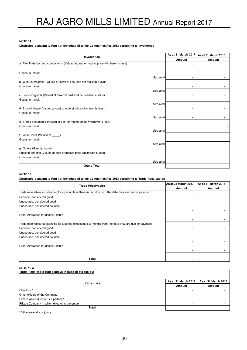#### **Disclosure pursuant to Part I of Schedule III to the Companies Act, 2013 pertaining to Inventories**

| Inventories                                                                        | As at 31 March 2017 | As at 31 March 2016 |
|------------------------------------------------------------------------------------|---------------------|---------------------|
|                                                                                    | Amount              | Amount              |
| a. Raw Materials and components (Valued at cost or market price whichever is less) |                     |                     |
|                                                                                    |                     |                     |
| Goods-in transit                                                                   | ٠                   |                     |
| Sub total                                                                          | ٠                   |                     |
| b. Work-in-progress (Valued at lower of cost and net realisable value)             |                     |                     |
| Goods-in transit                                                                   |                     |                     |
| Sub total                                                                          | ٠                   |                     |
| c. Finished goods (Valued at lower of cost and net realisable value)               |                     |                     |
| Goods-in transit                                                                   |                     |                     |
| Sub total                                                                          | ٠                   |                     |
| d. Stock-in-trade (Valued at cost or market price whichever is less)               |                     |                     |
| Goods-in transit                                                                   | ٠                   |                     |
| Sub total                                                                          | ٠                   |                     |
| e. Stores and spares (Valued at cost or market price whichever is less)            |                     |                     |
| Goods-in transit                                                                   |                     |                     |
| Sub total                                                                          | ÷,                  |                     |
| f. Loose Tools (Valued at _____)                                                   |                     |                     |
| Goods-in transit                                                                   |                     |                     |
| Sub total                                                                          |                     |                     |
| g. Others (Specify nature)                                                         |                     |                     |
| Packing Material (Valued at cost or market price whichever is less)                |                     |                     |
| Goods-in transit                                                                   |                     |                     |
| Sub total                                                                          | ٠                   |                     |
| <b>Grand Total</b>                                                                 |                     |                     |

# **NOTE 15**

# **Disclosure pursuant to Part I of Schedule III to the Companies Act, 2013 pertaining to Trade Receivables**

| <b>Trade Receivables</b>                                                                               | As at 31 March 2017 | As at 31 March 2016 |
|--------------------------------------------------------------------------------------------------------|---------------------|---------------------|
|                                                                                                        | Amount              | Amount              |
| Trade receivables outstanding for a period less than six months from the date they are due for payment |                     |                     |
| Secured, considered good                                                                               |                     |                     |
| Unsecured, considered good                                                                             |                     |                     |
| Unsecured, considered doubtful                                                                         |                     |                     |
|                                                                                                        |                     |                     |
| Less: Allowance for doubtful debts                                                                     |                     |                     |
|                                                                                                        |                     |                     |
| Trade receivables outstanding for a period exceeding six months from the date they are due for payment |                     |                     |
| Secured, considered good                                                                               |                     |                     |
| Unsecured, considered good                                                                             |                     |                     |
| Unsecured, considered doubtful                                                                         |                     |                     |
|                                                                                                        |                     |                     |
| Less: Allowance for doubtful debts                                                                     |                     |                     |
|                                                                                                        |                     |                     |
|                                                                                                        |                     |                     |
| Total                                                                                                  |                     |                     |

#### **NOTE 15 A**

| Trade Receivable stated above include debts due by: |                          |                     |
|-----------------------------------------------------|--------------------------|---------------------|
|                                                     | As at 31 March 2017      | As at 31 March 2016 |
| <b>Particulars</b>                                  | Amount                   | Amount              |
| Directors *                                         |                          |                     |
| Other officers of the Company *                     |                          |                     |
| Firm in which director is a partner *               |                          |                     |
| Private Company in which director is a member       | . .                      |                     |
| Total                                               | $\overline{\phantom{a}}$ |                     |

\*Either severally or jointly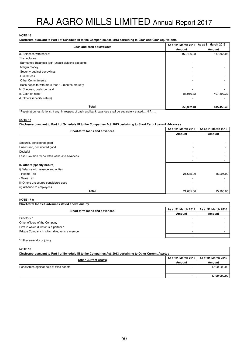**Disclosure pursuant to Part I of Schedule III to the Companies Act, 2013 pertaining to Cash and Cash equivalents**

| Cash and cash equivalents                          | As at 31 March 2017 | As at 31 March 2016 |
|----------------------------------------------------|---------------------|---------------------|
|                                                    | Amount              | Amount              |
| a. Balances with banks*                            | 169,436.08          | 117,566.08          |
| This includes:                                     |                     |                     |
| Earmarked Balances (eg/- unpaid dividend accounts) |                     |                     |
| Margin money                                       |                     |                     |
| Security against borrowings                        |                     |                     |
| Guarantees                                         |                     |                     |
| <b>Other Commitments</b>                           |                     |                     |
| Bank deposits with more than 12 months maturity    |                     |                     |
| b. Cheques, drafts on hand                         |                     |                     |
| c. Cash on hand*                                   | 86,916.32           | 497,892.32          |
| d. Others (specify nature)                         |                     |                     |
|                                                    |                     |                     |
| Total                                              | 256,352.40          | 615,458.40          |

\*Repatriation restrictions, if any, in respect of cash and bank balances shall be separately stated….N.A…..

#### **NOTE 17**

**Disclosure pursuant to Part I of Schedule III to the Companies Act, 2013 pertaining to Short Term Loans & Advances**

| Short-term loans and advances                   | As at 31 March 2017 | As at 31 March 2016 |
|-------------------------------------------------|---------------------|---------------------|
|                                                 | Amount              | Amount              |
|                                                 |                     |                     |
| Secured, considered good                        |                     |                     |
| Unsecured, considered good                      |                     |                     |
| Doubtful                                        |                     |                     |
| Less: Provision for doubtful loans and advances |                     |                     |
|                                                 |                     |                     |
| b. Others (specify nature)                      |                     |                     |
| i) Balance with revenue authorities             |                     |                     |
| - Income Tax                                    | 21,685.00           | 15,205.00           |
| Sales Tax                                       |                     |                     |
| ii) Others unsecured considered good            |                     |                     |
| iii) Advance to employees                       |                     |                     |
| Total                                           | 21,685.00           | 15,205.00           |

#### **NOTE 17 A**

| Short-term loans & advances stated above due by |                          |                     |
|-------------------------------------------------|--------------------------|---------------------|
| Short-term loans and advances                   | As at 31 March 2017      | As at 31 March 2016 |
|                                                 | Amount                   | Amount              |
| Directors *                                     |                          |                     |
| Other officers of the Company *                 |                          |                     |
| Firm in which director is a partner *           | -                        |                     |
| Private Company in which director is a member   | $\overline{\phantom{a}}$ |                     |
|                                                 |                          |                     |

\*Either severally or jointly

# **NOTE 18**

| Disclosure pursuant to Part I of Schedule III to the Companies Act, 2013 pertaining to Other Current Assets : |                  |              |  |  |
|---------------------------------------------------------------------------------------------------------------|------------------|--------------|--|--|
| As at 31 March 2017<br>As at 31 March 2016<br><b>Other Current Assets</b>                                     |                  |              |  |  |
|                                                                                                               | Amount<br>Amount |              |  |  |
| Receivables against sale of fixed assets                                                                      |                  | 1,100,000.00 |  |  |
|                                                                                                               |                  | 1,100,000.00 |  |  |

٦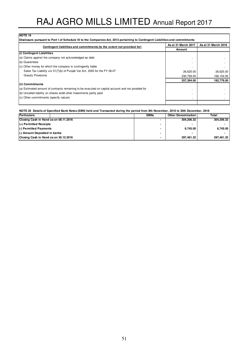| Contingent liabilities and commitments (to the extent not provided for)                            | As at 31 March 2017 | As at 31 March 2016 |
|----------------------------------------------------------------------------------------------------|---------------------|---------------------|
|                                                                                                    | Amount              |                     |
| (i) Contingent Liabilities                                                                         |                     |                     |
| (a) Claims against the company not acknowledged as debt                                            |                     |                     |
| (b) Guarantees                                                                                     |                     |                     |
| (c) Other money for which the company is contingently liable                                       |                     |                     |
| Sales Tax Liability u/s 51(7)(b) of Punjab Vat Act, 2005 for the FY 06-07                          | 26,625.00           | 26,625.00           |
| <b>Graulty Provisions</b>                                                                          | 230,769.00          | 166,154.00          |
|                                                                                                    | 257,394.00          | 192,779.00          |
| (ii) Commitments                                                                                   |                     |                     |
| (a) Estimated amount of contracts remaining to be executed on capital account and not provided for |                     |                     |
| (b) Uncalled liability on shares andd other investments partly paid                                |                     |                     |
| (c) Other commitments (specify nature)                                                             |                     |                     |

#### **NOTE 20 Details of Specified Bank Notes (SBN) held and Transacted during the period from 8th November, 2016 to 30th December, 2016**

| Particulars                           | <b>SBNs</b>              | <b>Other Denomination</b> | Total      |
|---------------------------------------|--------------------------|---------------------------|------------|
| Closing Cash in Hand as on 08.11.2016 |                          | 304.206.32                | 304.206.32 |
| $(4)$ Permitted Receipts              |                          |                           |            |
| (-) Permitted Payments                |                          | 6.745.00                  | 6.745.00   |
| (-) Amount Deposited in banks         |                          | -                         |            |
| Closing Cash in Hand as on 30.12.2016 | $\overline{\phantom{0}}$ | 297.461.32                | 297.461.32 |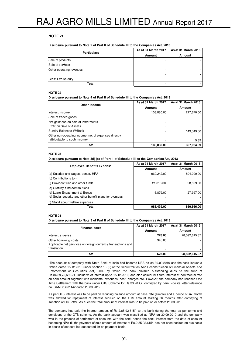| <b>Particulars</b>       | As at 31 March 2017 | As at 31 March 2016<br>Amount |  |
|--------------------------|---------------------|-------------------------------|--|
|                          | <b>Amount</b>       |                               |  |
| Sale of products         |                     |                               |  |
| Sale of services         |                     |                               |  |
| Other operating revenues |                     |                               |  |
| Less: Excise duty        |                     |                               |  |
| Total                    |                     |                               |  |

#### **NOTE 22**

**Disclosure pursuant to Note 4 of Part II of Schedule III to the Companies Act, 2013**

| <b>Other Income</b>                                  | As at 31 March 2017 | As at 31 March 2016 |
|------------------------------------------------------|---------------------|---------------------|
|                                                      | Amount              | Amount              |
| Interest Income                                      | 108,880.00          | 217,670.00          |
| Sale of traded goods                                 |                     |                     |
| Net gain/loss on sale of investments                 |                     |                     |
| Profit on Sale of Assets                             |                     |                     |
| Sundry Balances W/Back                               |                     | 149,349.00          |
| Other non-operating income (net of expenses directly |                     |                     |
| attributable to such income)                         |                     | 5.39                |
| Total                                                | 108.880.00          | 367.024.39          |

#### **NOTE 23**

**Disclosure pursuant to Note 5(i) (a) of Part II of Schedule III to the Companies Act, 2013**

| <b>Employee Benefits Expense</b>                         | As at 31 March 2017 | As at 31 March 2016 |
|----------------------------------------------------------|---------------------|---------------------|
|                                                          | Amount              | Amount              |
| (a) Salaries and wages, bonus, HRA                       | 960,242.00          | 804,000.00          |
| (b) Contributions to -                                   |                     |                     |
| (i) Provident fund and other funds                       | 21,318.00           | 28,869.00           |
| (c) Gratuity fund contributions                          |                     |                     |
| (d) Leave Encashment & Bonus                             | 6,879.00            | 27,997.00           |
| (d) Social security and other benefit plans for overseas |                     |                     |
| I(f) Staff/Labour welfare expenses                       |                     |                     |
| Total                                                    | 988,439.00          | 860,866.00          |

#### **NOTE 24**

**Disclosure pursuant to Note 3 of Part II of Schedule III to the Companies Act, 2013**

| <b>Finance costs</b>                                                                                          | As at 31 March 2017 | As at 31 March 2016 |
|---------------------------------------------------------------------------------------------------------------|---------------------|---------------------|
|                                                                                                               | Amount              | Amount              |
| Interest expense                                                                                              | 278.00              | 28,592,615.37       |
| <b>Other borrowing costs</b><br>Applicable net gain/loss on foreign currency transactions and<br>Itranslation | 345.00              |                     |
| Total                                                                                                         | 623.00              | 28,592,615.37       |

\*The account of company with State Bank of India had become NPA as on 30.09.2010 and the bank issued a Notice dated 15.12.2010 under section 13 (2) of the Securitization And Reconstruction of Financial Assets And Enforcement of Securities Act, 2002 by which the bank claimed outstanding dues to the tune of Rs.34,89,75,652.74 (inclusive of interest up to 15.12.2010) and also asked for future interest at contractual rate on said amount together with incidental expenses, cost, charges etc. However, the company had reached One Time Settlement with the bank under OTS Scheme for Rs.33.20 Cr. conveyed by bank vide its letter reference no. SAMB/SK/1142 dated 26.09.2012.

As per OTS Interest was to be paid on reducing balance amount at base rate (simple) and a period of six month was allowed for repayment of interest accrued on the OTS amount starting 36 months after conveying of sanction of OTS offer. As such the total amount of interest was to be paid on or before 25.03.2016.

The company has paid the interest amount of Rs.2,85,92,615/- to the bank during the year as per terms and conditions of the OTS scheme. As the bank account was classified as NPA on 30.09.2010 and the company was in the process of settlement of accounts with the bank hence the bank interest from the date of account becoming NPA till the payment of said amount of interest of Rs.2,85,92,615/- has not been booked on due basis in books of account but accounted for on payment basis.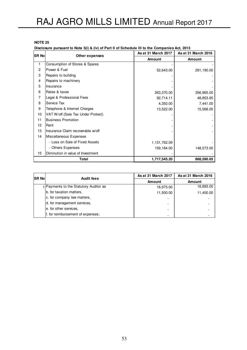**Disclosure pursuant to Note 5(i) & (iv) of Part II of Schedule III to the Companies Act, 2013**

| <b>ISR Nol</b> |                                    | As at 31 March 2017<br>Other expenses | As at 31 March 2016 |  |
|----------------|------------------------------------|---------------------------------------|---------------------|--|
|                |                                    | <b>Amount</b>                         | <b>Amount</b>       |  |
| 1              | Consumption of Stores & Spares     |                                       |                     |  |
| 2              | Power & Fuel                       | 52,643.00                             | 291,190.00          |  |
| 3              | Repairs to building                |                                       |                     |  |
| 4              | Repairs to machinery               |                                       |                     |  |
| 5              | Insurance                          |                                       |                     |  |
| 6              | Rates & taxes                      | 263,370.00                            | 356,965.00          |  |
| 7              | Legal & Professional Fees          | 92,714.11                             | 48,853.65           |  |
| 8              | Service Tax                        | 4,350.00                              | 7,441.00            |  |
| 9              | Telephone & Internet Charges       | 13,522.00                             | 15,568.00           |  |
| 10             | VAT W/off (Sale Tax Under Protest) |                                       |                     |  |
| 11             | <b>Business Promotion</b>          |                                       |                     |  |
| 12             | Rent                               |                                       |                     |  |
| 13             | Insurance Claim recoverable w/off  |                                       |                     |  |
| 14             | Miscellaneous Expenses             |                                       |                     |  |
|                | - Loss on Sale of Fixed Assets     | 1,131,762.09                          |                     |  |
|                | - Others Expenses                  | 159,184.00                            | 148,573.00          |  |
| 15             | Diminution in value of Investment  |                                       |                     |  |
|                | Total                              | 1,717,545.20                          | 868,590.65          |  |

| <b>ISR Nol</b> | <b>Audit fees</b>                    | As at 31 March 2017 | As at 31 March 2016 |
|----------------|--------------------------------------|---------------------|---------------------|
|                |                                      | <b>Amount</b>       | <b>Amount</b>       |
|                | Payments to the Statutory Auditor as | 18,975.00           | 18,893.00           |
|                | b. for taxation matters,             | 11,500.00           | 11,450.00           |
|                | c. for company law matters,          |                     |                     |
|                | d. for management services,          |                     |                     |
|                | e. for other services,               |                     |                     |
|                | f. for reimbursement of expenses;    |                     |                     |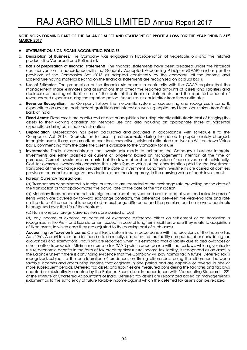# NOTE NO.26 FORMING PART OF THE BALANCE SHEET AND STATEMENT OF PROFIT & LOSS FOR THE YEAR ENDING 31ST MARCH 2017

# A. STATEMENT ON SIGNIFICANT ACCOUNTING POLICIES

- a. Description of Business: The Company was engaged in Hydrogenation of vegetable oils and the related products like Vanaspati and Refined oil.
- b. Basis of preparation of financial statements: The financial statements have been prepared under the historical cost convention, in accordance with the Generally Accepted Accounting Principles (GAAP) and as per the provisions of the Companies Act, 2013 as adopted consistently by the company. All the Income and Expenditure having material bearing on the financial statements are recognized on accrual basis.
- c. Use of Estimates: The preparation of the financial statements in conformity with the GAAP requires that the management make estimates and assumptions that affect the reported amounts of assets and liabilities and disclosure of contingent liabilities as of the date of the financial statements, and the reported amount of revenues and expenses during the reported period. Actual results could differ from those estimates.
- d. Revenue Recognition: The Company follows the mercantile system of accounting and recognizes income & expenditure on accrual basis except gratuities and interest on working capital and term loans taken from State Bank of India.
- e. Fixed Assets: Fixed assets are capitalized at cost of acquisition including directly attributable cost of bringing the assets to their working condition for intended use and also including an appropriate share of incidental expenditure during construction/installation.
- f. Depreciation: Depreciation has been calculated and provided in accordance with schedule II to the Companies Act, 2013. Depreciation for assets purchased/sold during the period is proportionately charged. Intangible assets, if any, are amortized over their respective individual estimated use lives on Written down Value basis, commencing from the date the asset is available to the Company for it use.
- g. Investments: Trade investments are the investments made to enhance the Company's business interests. Investments are either classified as current or long-term based on Management's intention at the time of purchase. Current investments are carried at the lower of cost and fair value of each investment individually. Cost for overseas investments comprises the Indian Rupee value of the consideration paid for the investment translated at the exchange rate prevalent the date of investment. Long term investments are carried at cost less provisions recorded to recognize any decline, other than temporary, in the carrying value of each investment.

#### h. Foreign Currency Transactions:

(a) Transactions denominated in foreign currencies are recorded at the exchange rate prevailing on the date of the transaction or that approximates the actual rate at the date of the transaction.

(b) Monetary items denominated in foreign currencies at the year-end are restated at year end rates. In case of items which are covered by forward exchange contracts, the difference between the year-end rate and rate on the date of the contract is recognised as exchange difference and the premium paid on forward contracts is recognised over the life of the contract.

(c) Non monetary foreign currency items are carried at cost.

(d) Any income or expense on account of exchange difference either on settlement or on translation is recognised in the Profit and Loss statement except in case of long term liabilities, where they relate to acquisition of fixed assets, in which case they are adjusted to the carrying cost of such assets.

i. Accounting for Taxes on Income: Current tax is determined in accordance with the provisions of the Income Tax Act, 1961. A provision is made for income tax annually, based on the tax liability computed, after considering tax allowances and exemptions. Provisions are recorded when it is estimated that a liability due to disallowances or other matters is probable. Minimum alternate tax (MAT) paid in accordance with the tax laws, which gives rise to future economic benefits in the form of tax credit against future income tax liability, is recognized as an asset in the Balance Sheet if there is convincing evidence that the Company will pay normal tax in future. Deferred Tax is recognized, subject to the consideration of prudence, on timing differences, being the difference between taxable incomes and accounting income that originate in one period and are capable or reversal in one or more subsequent periods. Deferred tax assets and liabilities are measured considering the tax rates and tax laws enacted or substantively enacted by the Balance Sheet date, in accordance with "Accounting Standard – 22" of the Institute of Chartered Accountants of India. Deferred tax assets are recognized based on management's judgment as to the sufficiency of future taxable income against which the deferred tax assets can be realized.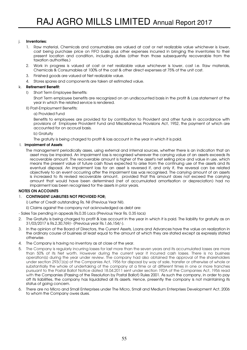# j. Inventories:

- 1. Raw material, Chemicals and consumables are valued at cost or net realizable value whichever is lower, cost being purchase price on FIFO basis plus other expenses incurred in bringing the inventories to their present location and condition, including duties (other than those subsequently recoverable from the taxation authorities.)
- 2. Work in progress is valued at cost or net realizable value whichever is lower, cost i.e. Raw materials, Chemicals & Consumables at 100% of the cost & other direct expenses at 75% of the unit cost.
- 3. Finished goods are valued at Net realizable value.
- 4. Stores spares and components are taken at estimated value.

# k. Retirement Benefit:

I) Short Term Employee Benefits:

Short Term employee benefits are recognized on an undiscounted basis in the profit & Loss statement of the year in which the related service is rendered.

- II) Post-Employment Benefits:
	- a) Provided Fund

Benefits to employees are provided for by contribution to Provident and other funds in accordance with provisions of Employee Provident Fund and Miscellaneous Provisions Act, 1952, the payment of which are accounted for on accrual basis.

b) Gratuity

The gratuity is being charged to profit & loss account in the year in which it is paid.

# l. Impairment of Assets:

 The management periodically asses, using external and internal sources, whether there is an indication that an asset may be impaired. An impairment loss is recognised wherever the carrying value of an assets exceeds its recoverable amount. The recoverable amount is higher of the asset's net selling price and value in use, which means the present value of future cash flows expected to arise from the continuing use of the assets and its eventual disposal. An impairment loss for an asset is reversed if, and only if, the reversal can be related objectively to an event occurring after the impairment loss was recognised. The carrying amount of an assets is increased to its revised recoverable amount, provided that this amount does not exceed the carrying amount that would have been determined (net of accumulated amortisation or depreciation) had no impairment loss been recognised for the assets in prior years.

# NOTES ON ACCOUNTS

# 1. CONTINGENT LIABILITIES NOT PROVIDED FOR:

i) Letter of Credit outstanding Rs. Nil (Previous Year Nil).

ii) Claims against the company not acknowledged as debt are:

- Sales Tax pending in appeals Rs.0.35 Lacs (Previous Year Rs. 0.35 lacs)

- 2. The Gratuity is being charged to profit & loss account in the year in which it is paid. The liability for gratuity as on 31/03/2017 is Rs.2,30,769/- (Previous year Rs.1,66,154/-).
- 3. In the opinion of the Board of Directors, the Current Assets, Loans and Advances have the value on realization in the ordinary course of business at least equal to the amount at which they are stated except as expressly stated otherwise.
- 4. The Company is having no inventory as at close of the year.
- 5. The Company is regularly incurring losses for last more than the seven years and its accumulated losses are more than 50% of its Net worth. However during the current year it incurred cash losses. There is no business operation(s) during the year under review. The company had also obtained the approval of the shareholders under section 293(1)(a) of the Companies Act, 1956 for disposal by way of sale, transfer or otherwise of whole or substantially the whole of undertaking of the company at a time or at different times in one or more tranches pursuant to the Postal Ballot Notice dated 18.04.2011 sent under section 192A of the Companies Act, 1956 read with the Companies (Passing of the Resolution by Postal Ballot) Rules 2001. As such the company, in order to pay off its liabilities, the company has liquidated all its assets. Hence, presently the company is not maintaining its status of going concern.
- 6. There are no Micro and Small Enterprises under The Micro, Small and Medium Enterprises Development Act, 2006 to whom the Company owes dues.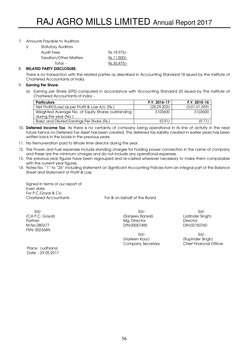# 7. Amounts Payable to Auditors:

| i) | <b>Statutory Auditors</b>     |             |
|----|-------------------------------|-------------|
|    | Audit Fees                    | Rs.18,975/- |
|    | <b>Taxation/Other Matters</b> | Rs.11,500/- |
|    | Total: -                      | Rs.30,475/- |
|    |                               |             |

# 8. RELATED PARTY DISCLOSURE:

There is no transaction with the related parties as described in Accounting Standard-18 issued by the Institute of Chartered Accountants of India.

# 9. Earning Per Share:

a) Earning per Share (EPS) computed in accordance with Accounting Standard 20 issued by The Institute of Chartered Accountants of India: -

| <b>Particulars</b>                                | F.Y. 2016-17 | F.Y. 2015-16  |
|---------------------------------------------------|--------------|---------------|
| Net Profit/(Loss) as per Profit & Loss A/c (Rs.)  | (28.29.303)  | (3,01,31,359) |
| Weighted Average No. of Equity Shares outstanding | 3103600      | 3103600       |
| during the year (No.)                             |              |               |
| Basic and Diluted Earnings Per Share (Rs.)        | (0.91)       | (9.71)        |

- 10. Deferred Income Tax: As there is no certainty of company being operational in its line of activity in the near future hence no Deferred Tax Asset has been created. The deferred tax liability created in earlier years has been written back in the books in the previous years.
- 11. No Remuneration paid to Whole time director during the year.
- 12. The Power and Fuel expenses include standing charges for holding power connection in the name of company and these are the minimum charges and do not include any operational expenses.
- 13. The previous year figures have been regrouped and re-casted wherever necessary to make them comparable with the current year figures.
- 14. Notes No. "1" to "26" including statement on Significant Accounting Policies form an integral part of the Balance Sheet and Statement of Profit & Loss.

Signed in terms of our report of Even date For P.C.Goyal & Co. Chartered Accountants For & on behalf of the Board

 Sd/- Sd/- Sd/- (CA P.C. Goyal) (Sanjeev Bansal) (Jatinder Singh) Partner Mg. Director Director FRN: 002368N

Place : Ludhiana Date : 29.05.2017 DIN:00057485

 Sd/- Sd/- (Harleen Kaur) (Rupinder Singh)

Company Secretary Chief Financial Officer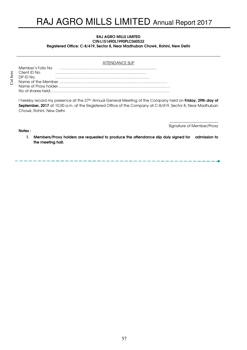#### RAJ AGRO MILLS LIMITED CIN:L15149DL1990PLC040532 Registered Office: C-8/419, Sector 8, Near Madhuban Chowk, Rohini, New Delhi

#### ATTENDANCE SLIP

Member's Folio No . ………………..………………….………................................ Client ID No. …………………………………………………….………… DP ID No. …………………………………………………………….…… Name of the Member …………………………………………………………………………… Name of Proxy holder……………………………………………………………………………… No of shares held……………………………………………………………………………………

I hereby record my presence at the 27<sup>th</sup> Annual General Meeting of the Company held on **Friday, 29th day of** September, 2017 at 10.00 a.m. at the Registered Office of the Company at C-8/419, Sector 8, Near Madhuban Chowk, Rohini, New Delhi.

Notes :

\_\_\_\_\_\_\_\_\_\_\_\_\_\_\_\_\_\_\_\_\_\_\_\_\_\_ Signature of Member/Proxy

--------------------------

1. Members/Proxy holders are requested to produce the attendance slip duly signed for admission to the meeting hall.

57